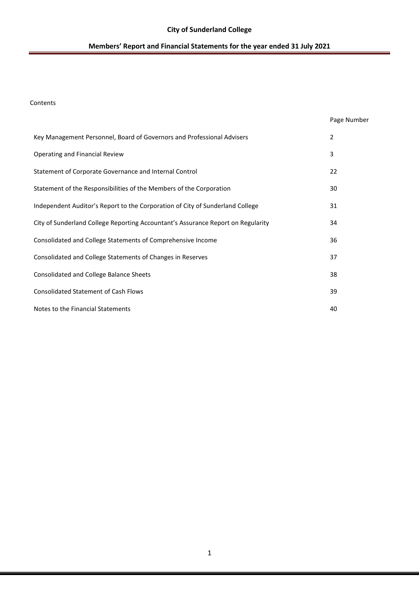### Contents

|                                                                                  | Page Number |
|----------------------------------------------------------------------------------|-------------|
| Key Management Personnel, Board of Governors and Professional Advisers           | 2           |
| Operating and Financial Review                                                   | 3           |
| Statement of Corporate Governance and Internal Control                           | 22          |
| Statement of the Responsibilities of the Members of the Corporation              | 30          |
| Independent Auditor's Report to the Corporation of City of Sunderland College    | 31          |
| City of Sunderland College Reporting Accountant's Assurance Report on Regularity | 34          |
| Consolidated and College Statements of Comprehensive Income                      | 36          |
| Consolidated and College Statements of Changes in Reserves                       | 37          |
| Consolidated and College Balance Sheets                                          | 38          |
| <b>Consolidated Statement of Cash Flows</b>                                      | 39          |
| Notes to the Financial Statements                                                | 40          |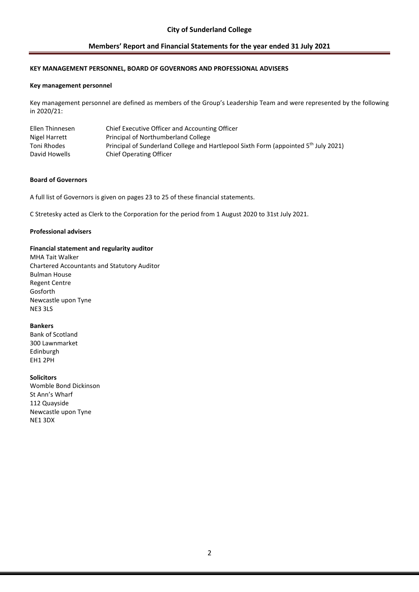### **KEY MANAGEMENT PERSONNEL, BOARD OF GOVERNORS AND PROFESSIONAL ADVISERS**

#### **Key management personnel**

Key management personnel are defined as members of the Group's Leadership Team and were represented by the following in 2020/21:

| Ellen Thinnesen | Chief Executive Officer and Accounting Officer                                                  |
|-----------------|-------------------------------------------------------------------------------------------------|
| Nigel Harrett   | <b>Principal of Northumberland College</b>                                                      |
| Toni Rhodes     | Principal of Sunderland College and Hartlepool Sixth Form (appointed 5 <sup>th</sup> July 2021) |
| David Howells   | <b>Chief Operating Officer</b>                                                                  |

#### **Board of Governors**

A full list of Governors is given on pages 23 to 25 of these financial statements.

C Stretesky acted as Clerk to the Corporation for the period from 1 August 2020 to 31st July 2021.

#### **Professional advisers**

#### **Financial statement and regularity auditor**

MHA Tait Walker Chartered Accountants and Statutory Auditor Bulman House Regent Centre Gosforth Newcastle upon Tyne NE3 3LS

#### **Bankers**

Bank of Scotland 300 Lawnmarket Edinburgh EH1 2PH

#### **Solicitors**

Womble Bond Dickinson St Ann's Wharf 112 Quayside Newcastle upon Tyne NE1 3DX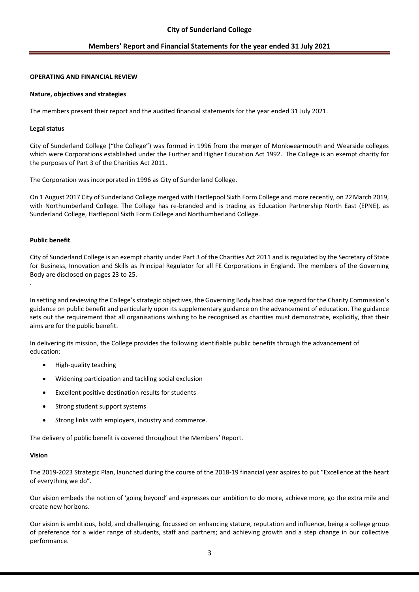### **OPERATING AND FINANCIAL REVIEW**

#### **Nature, objectives and strategies**

The members present their report and the audited financial statements for the year ended 31 July 2021.

#### **Legal status**

City of Sunderland College ("the College") was formed in 1996 from the merger of Monkwearmouth and Wearside colleges which were Corporations established under the Further and Higher Education Act 1992. The College is an exempt charity for the purposes of Part 3 of the Charities Act 2011.

The Corporation was incorporated in 1996 as City of Sunderland College.

On 1 August 2017 City of Sunderland College merged with Hartlepool Sixth Form College and more recently, on 22March 2019, with Northumberland College. The College has re-branded and is trading as Education Partnership North East (EPNE), as Sunderland College, Hartlepool Sixth Form College and Northumberland College.

### **Public benefit**

.

City of Sunderland College is an exempt charity under Part 3 of the Charities Act 2011 and is regulated by the Secretary of State for Business, Innovation and Skills as Principal Regulator for all FE Corporations in England. The members of the Governing Body are disclosed on pages 23 to 25.

In setting and reviewing the College's strategic objectives, the Governing Body has had due regard for the Charity Commission's guidance on public benefit and particularly upon its supplementary guidance on the advancement of education. The guidance sets out the requirement that all organisations wishing to be recognised as charities must demonstrate, explicitly, that their aims are for the public benefit.

In delivering its mission, the College provides the following identifiable public benefits through the advancement of education:

- High-quality teaching
- Widening participation and tackling social exclusion
- Excellent positive destination results for students
- Strong student support systems
- Strong links with employers, industry and commerce.

The delivery of public benefit is covered throughout the Members' Report.

### **Vision**

The 2019-2023 Strategic Plan, launched during the course of the 2018-19 financial year aspires to put "Excellence at the heart of everything we do".

Our vision embeds the notion of 'going beyond' and expresses our ambition to do more, achieve more, go the extra mile and create new horizons.

Our vision is ambitious, bold, and challenging, focussed on enhancing stature, reputation and influence, being a college group of preference for a wider range of students, staff and partners; and achieving growth and a step change in our collective performance.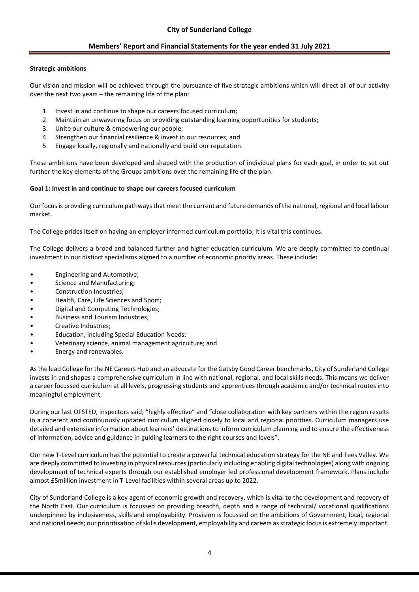### **Strategic ambitions**

Our vision and mission will be achieved through the pursuance of five strategic ambitions which will direct all of our activity over the next two years – the remaining life of the plan:

- 1. Invest in and continue to shape our careers focused curriculum;
- 2. Maintain an unwavering focus on providing outstanding learning opportunities for students;
- 3. Unite our culture & empowering our people;
- 4. Strengthen our financial resilience & invest in our resources; and
- 5. Engage locally, regionally and nationally and build our reputation.

These ambitions have been developed and shaped with the production of individual plans for each goal, in order to set out further the key elements of the Groups ambitions over the remaining life of the plan.

### **Goal 1: Invest in and continue to shape our careers focused curriculum**

Our focus is providing curriculum pathways that meet the current and future demands of the national, regional and local labour market.

The College prides itself on having an employer informed curriculum portfolio; it is vital this continues.

The College delivers a broad and balanced further and higher education curriculum. We are deeply committed to continual investment in our distinct specialisms aligned to a number of economic priority areas. These include:

- Engineering and Automotive;
- Science and Manufacturing;
- Construction Industries;
- Health, Care, Life Sciences and Sport;
- Digital and Computing Technologies;
- Business and Tourism Industries;
- Creative Industries;
- Education, including Special Education Needs;
- Veterinary science, animal management agriculture; and
- Energy and renewables.

As the lead College for the NE Careers Hub and an advocate for the Gatsby Good Career benchmarks, City of Sunderland College invests in and shapes a comprehensive curriculum in line with national, regional, and local skills needs. This means we deliver a career focussed curriculum at all levels, progressing students and apprentices through academic and/or technical routes into meaningful employment.

During our last OFSTED, inspectors said; "highly effective" and "close collaboration with key partners within the region results in a coherent and continuously updated curriculum aligned closely to local and regional priorities. Curriculum managers use detailed and extensive information about learners' destinations to inform curriculum planning and to ensure the effectiveness of information, advice and guidance in guiding learners to the right courses and levels".

Our new T-Level curriculum has the potential to create a powerful technical education strategy for the NE and Tees Valley. We are deeply committed to investing in physical resources (particularly including enabling digital technologies) along with ongoing development of technical experts through our established employer led professional development framework. Plans include almost £5million investment in T-Level facilities within several areas up to 2022.

City of Sunderland College is a key agent of economic growth and recovery, which is vital to the development and recovery of the North East. Our curriculum is focussed on providing breadth, depth and a range of technical/ vocational qualifications underpinned by inclusiveness, skills and employability. Provision is focussed on the ambitions of Government, local, regional and national needs; our prioritisation of skills development, employability and careers as strategic focus is extremely important.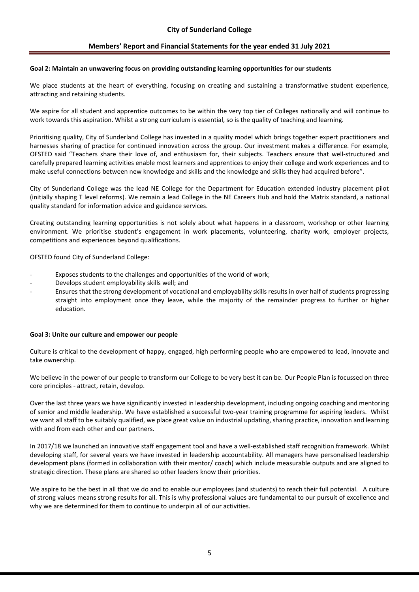#### **Goal 2: Maintain an unwavering focus on providing outstanding learning opportunities for our students**

We place students at the heart of everything, focusing on creating and sustaining a transformative student experience, attracting and retaining students.

We aspire for all student and apprentice outcomes to be within the very top tier of Colleges nationally and will continue to work towards this aspiration. Whilst a strong curriculum is essential, so is the quality of teaching and learning.

Prioritising quality, City of Sunderland College has invested in a quality model which brings together expert practitioners and harnesses sharing of practice for continued innovation across the group. Our investment makes a difference. For example, OFSTED said "Teachers share their love of, and enthusiasm for, their subjects. Teachers ensure that well-structured and carefully prepared learning activities enable most learners and apprentices to enjoy their college and work experiences and to make useful connections between new knowledge and skills and the knowledge and skills they had acquired before".

City of Sunderland College was the lead NE College for the Department for Education extended industry placement pilot (initially shaping T level reforms). We remain a lead College in the NE Careers Hub and hold the Matrix standard, a national quality standard for information advice and guidance services.

Creating outstanding learning opportunities is not solely about what happens in a classroom, workshop or other learning environment. We prioritise student's engagement in work placements, volunteering, charity work, employer projects, competitions and experiences beyond qualifications.

OFSTED found City of Sunderland College:

- Exposes students to the challenges and opportunities of the world of work;
- Develops student employability skills well; and
- Ensures that the strong development of vocational and employability skills results in over half of students progressing straight into employment once they leave, while the majority of the remainder progress to further or higher education.

#### **Goal 3: Unite our culture and empower our people**

Culture is critical to the development of happy, engaged, high performing people who are empowered to lead, innovate and take ownership.

We believe in the power of our people to transform our College to be very best it can be. Our People Plan is focussed on three core principles - attract, retain, develop.

Over the last three years we have significantly invested in leadership development, including ongoing coaching and mentoring of senior and middle leadership. We have established a successful two-year training programme for aspiring leaders. Whilst we want all staff to be suitably qualified, we place great value on industrial updating, sharing practice, innovation and learning with and from each other and our partners.

In 2017/18 we launched an innovative staff engagement tool and have a well-established staff recognition framework. Whilst developing staff, for several years we have invested in leadership accountability. All managers have personalised leadership development plans (formed in collaboration with their mentor/ coach) which include measurable outputs and are aligned to strategic direction. These plans are shared so other leaders know their priorities.

We aspire to be the best in all that we do and to enable our employees (and students) to reach their full potential. A culture of strong values means strong results for all. This is why professional values are fundamental to our pursuit of excellence and why we are determined for them to continue to underpin all of our activities.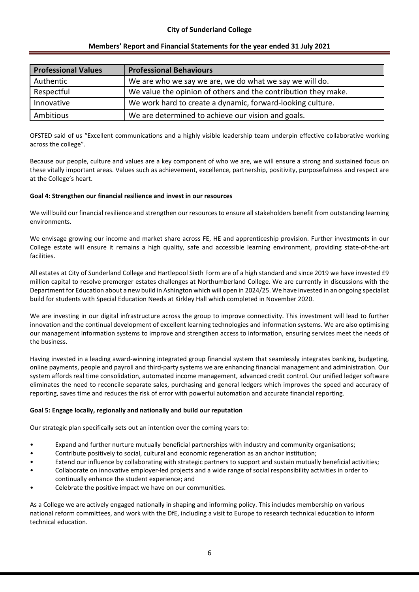| <b>Professional Values</b> | <b>Professional Behaviours</b>                                 |
|----------------------------|----------------------------------------------------------------|
| Authentic                  | We are who we say we are, we do what we say we will do.        |
| Respectful                 | We value the opinion of others and the contribution they make. |
| Innovative                 | We work hard to create a dynamic, forward-looking culture.     |
| Ambitious                  | We are determined to achieve our vision and goals.             |

OFSTED said of us "Excellent communications and a highly visible leadership team underpin effective collaborative working across the college".

Because our people, culture and values are a key component of who we are, we will ensure a strong and sustained focus on these vitally important areas. Values such as achievement, excellence, partnership, positivity, purposefulness and respect are at the College's heart.

### **Goal 4: Strengthen our financial resilience and invest in our resources**

We will build our financial resilience and strengthen our resources to ensure all stakeholders benefit from outstanding learning environments.

We envisage growing our income and market share across FE, HE and apprenticeship provision. Further investments in our College estate will ensure it remains a high quality, safe and accessible learning environment, providing state-of-the-art facilities.

All estates at City of Sunderland College and Hartlepool Sixth Form are of a high standard and since 2019 we have invested £9 million capital to resolve premerger estates challenges at Northumberland College. We are currently in discussions with the Department for Education about a new build in Ashington which will open in 2024/25. We have invested in an ongoing specialist build for students with Special Education Needs at Kirkley Hall which completed in November 2020.

We are investing in our digital infrastructure across the group to improve connectivity. This investment will lead to further innovation and the continual development of excellent learning technologies and information systems. We are also optimising our management information systems to improve and strengthen access to information, ensuring services meet the needs of the business.

Having invested in a leading award-winning integrated group financial system that seamlessly integrates banking, budgeting, online payments, people and payroll and third-party systems we are enhancing financial management and administration. Our system affords real time consolidation, automated income management, advanced credit control. Our unified ledger software eliminates the need to reconcile separate sales, purchasing and general ledgers which improves the speed and accuracy of reporting, saves time and reduces the risk of error with powerful automation and accurate financial reporting.

### **Goal 5: Engage locally, regionally and nationally and build our reputation**

Our strategic plan specifically sets out an intention over the coming years to:

- Expand and further nurture mutually beneficial partnerships with industry and community organisations;
- Contribute positively to social, cultural and economic regeneration as an anchor institution;
- Extend our influence by collaborating with strategic partners to support and sustain mutually beneficial activities;
- Collaborate on innovative employer-led projects and a wide range of social responsibility activities in order to continually enhance the student experience; and
- Celebrate the positive impact we have on our communities.

As a College we are actively engaged nationally in shaping and informing policy. This includes membership on various national reform committees, and work with the DfE, including a visit to Europe to research technical education to inform technical education.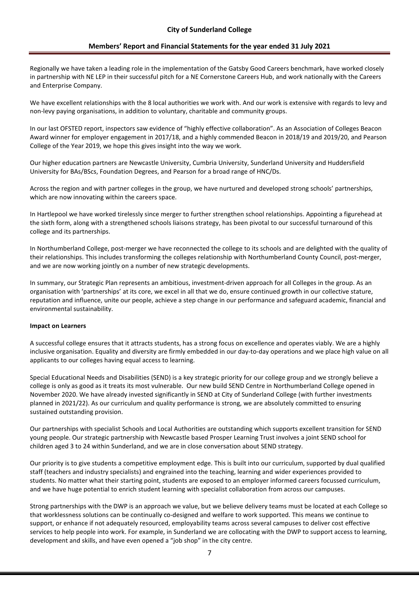Regionally we have taken a leading role in the implementation of the Gatsby Good Careers benchmark, have worked closely in partnership with NE LEP in their successful pitch for a NE Cornerstone Careers Hub, and work nationally with the Careers and Enterprise Company.

We have excellent relationships with the 8 local authorities we work with. And our work is extensive with regards to levy and non-levy paying organisations, in addition to voluntary, charitable and community groups.

In our last OFSTED report, inspectors saw evidence of "highly effective collaboration". As an Association of Colleges Beacon Award winner for employer engagement in 2017/18, and a highly commended Beacon in 2018/19 and 2019/20, and Pearson College of the Year 2019, we hope this gives insight into the way we work.

Our higher education partners are Newcastle University, Cumbria University, Sunderland University and Huddersfield University for BAs/BScs, Foundation Degrees, and Pearson for a broad range of HNC/Ds.

Across the region and with partner colleges in the group, we have nurtured and developed strong schools' partnerships, which are now innovating within the careers space.

In Hartlepool we have worked tirelessly since merger to further strengthen school relationships. Appointing a figurehead at the sixth form, along with a strengthened schools liaisons strategy, has been pivotal to our successful turnaround of this college and its partnerships.

In Northumberland College, post-merger we have reconnected the college to its schools and are delighted with the quality of their relationships. This includes transforming the colleges relationship with Northumberland County Council, post-merger, and we are now working jointly on a number of new strategic developments.

In summary, our Strategic Plan represents an ambitious, investment-driven approach for all Colleges in the group. As an organisation with 'partnerships' at its core, we excel in all that we do, ensure continued growth in our collective stature, reputation and influence, unite our people, achieve a step change in our performance and safeguard academic, financial and environmental sustainability.

#### **Impact on Learners**

A successful college ensures that it attracts students, has a strong focus on excellence and operates viably. We are a highly inclusive organisation. Equality and diversity are firmly embedded in our day-to-day operations and we place high value on all applicants to our colleges having equal access to learning.

Special Educational Needs and Disabilities (SEND) is a key strategic priority for our college group and we strongly believe a college is only as good as it treats its most vulnerable. Our new build SEND Centre in Northumberland College opened in November 2020. We have already invested significantly in SEND at City of Sunderland College (with further investments planned in 2021/22). As our curriculum and quality performance is strong, we are absolutely committed to ensuring sustained outstanding provision.

Our partnerships with specialist Schools and Local Authorities are outstanding which supports excellent transition for SEND young people. Our strategic partnership with Newcastle based Prosper Learning Trust involves a joint SEND school for children aged 3 to 24 within Sunderland, and we are in close conversation about SEND strategy.

Our priority is to give students a competitive employment edge. This is built into our curriculum, supported by dual qualified staff (teachers and industry specialists) and engrained into the teaching, learning and wider experiences provided to students. No matter what their starting point, students are exposed to an employer informed careers focussed curriculum, and we have huge potential to enrich student learning with specialist collaboration from across our campuses.

Strong partnerships with the DWP is an approach we value, but we believe delivery teams must be located at each College so that worklessness solutions can be continually co-designed and welfare to work supported. This means we continue to support, or enhance if not adequately resourced, employability teams across several campuses to deliver cost effective services to help people into work. For example, in Sunderland we are collocating with the DWP to support access to learning, development and skills, and have even opened a "job shop" in the city centre.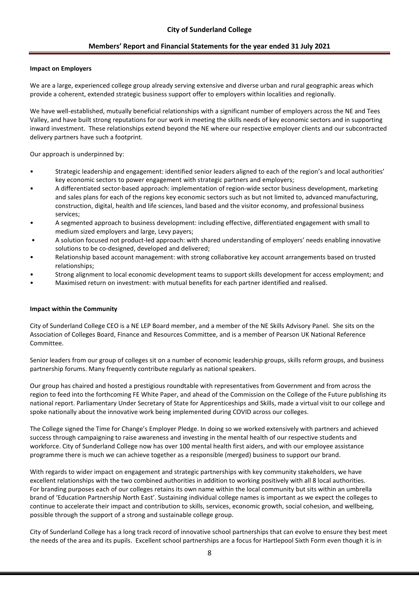#### **Impact on Employers**

We are a large, experienced college group already serving extensive and diverse urban and rural geographic areas which provide a coherent, extended strategic business support offer to employers within localities and regionally.

We have well-established, mutually beneficial relationships with a significant number of employers across the NE and Tees Valley, and have built strong reputations for our work in meeting the skills needs of key economic sectors and in supporting inward investment. These relationships extend beyond the NE where our respective employer clients and our subcontracted delivery partners have such a footprint.

Our approach is underpinned by:

- Strategic leadership and engagement: identified senior leaders aligned to each of the region's and local authorities' key economic sectors to power engagement with strategic partners and employers;
- A differentiated sector-based approach: implementation of region-wide sector business development, marketing and sales plans for each of the regions key economic sectors such as but not limited to, advanced manufacturing, construction, digital, health and life sciences, land based and the visitor economy, and professional business services;
- A segmented approach to business development: including effective, differentiated engagement with small to medium sized employers and large, Levy payers;
- A solution focused not product-led approach: with shared understanding of employers' needs enabling innovative solutions to be co-designed, developed and delivered;
- Relationship based account management: with strong collaborative key account arrangements based on trusted relationships;
- Strong alignment to local economic development teams to support skills development for access employment; and
- Maximised return on investment: with mutual benefits for each partner identified and realised.

#### **Impact within the Community**

City of Sunderland College CEO is a NE LEP Board member, and a member of the NE Skills Advisory Panel. She sits on the Association of Colleges Board, Finance and Resources Committee, and is a member of Pearson UK National Reference Committee.

Senior leaders from our group of colleges sit on a number of economic leadership groups, skills reform groups, and business partnership forums. Many frequently contribute regularly as national speakers.

Our group has chaired and hosted a prestigious roundtable with representatives from Government and from across the region to feed into the forthcoming FE White Paper, and ahead of the Commission on the College of the Future publishing its national report. Parliamentary Under Secretary of State for Apprenticeships and Skills, made a virtual visit to our college and spoke nationally about the innovative work being implemented during COVID across our colleges.

The College signed the Time for Change's Employer Pledge. In doing so we worked extensively with partners and achieved success through campaigning to raise awareness and investing in the mental health of our respective students and workforce. City of Sunderland College now has over 100 mental health first aiders, and with our employee assistance programme there is much we can achieve together as a responsible (merged) business to support our brand.

With regards to wider impact on engagement and strategic partnerships with key community stakeholders, we have excellent relationships with the two combined authorities in addition to working positively with all 8 local authorities. For branding purposes each of our colleges retains its own name within the local community but sits within an umbrella brand of 'Education Partnership North East'. Sustaining individual college names is important as we expect the colleges to continue to accelerate their impact and contribution to skills, services, economic growth, social cohesion, and wellbeing, possible through the support of a strong and sustainable college group.

City of Sunderland College has a long track record of innovative school partnerships that can evolve to ensure they best meet the needs of the area and its pupils. Excellent school partnerships are a focus for Hartlepool Sixth Form even though it is in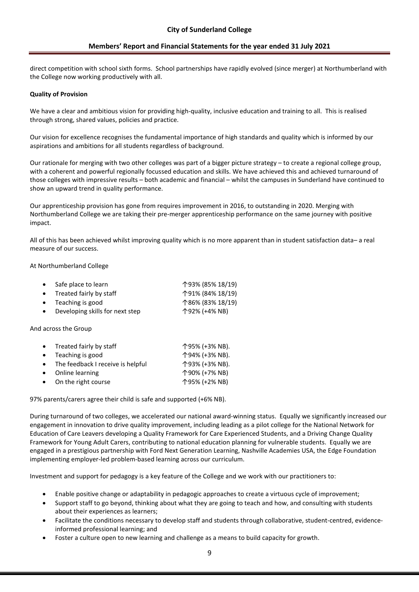direct competition with school sixth forms. School partnerships have rapidly evolved (since merger) at Northumberland with the College now working productively with all.

#### **Quality of Provision**

We have a clear and ambitious vision for providing high-quality, inclusive education and training to all. This is realised through strong, shared values, policies and practice.

Our vision for excellence recognises the fundamental importance of high standards and quality which is informed by our aspirations and ambitions for all students regardless of background.

Our rationale for merging with two other colleges was part of a bigger picture strategy – to create a regional college group, with a coherent and powerful regionally focussed education and skills. We have achieved this and achieved turnaround of those colleges with impressive results – both academic and financial – whilst the campuses in Sunderland have continued to show an upward trend in quality performance.

Our apprenticeship provision has gone from requires improvement in 2016, to outstanding in 2020. Merging with Northumberland College we are taking their pre-merger apprenticeship performance on the same journey with positive impact.

All of this has been achieved whilst improving quality which is no more apparent than in student satisfaction data– a real measure of our success.

#### At Northumberland College

|           | • Safe place to learn             | 个93% (85% 18/19) |
|-----------|-----------------------------------|------------------|
|           | $\bullet$ Treated fairly by staff | 个91% (84% 18/19) |
|           | $\bullet$ Teaching is good        | 个86% (83% 18/19) |
| $\bullet$ | Developing skills for next step   | 个92% (+4% NB)    |

#### And across the Group

| • Treated fairly by staff           | 个95% (+3% NB). |
|-------------------------------------|----------------|
| $\bullet$ Teaching is good          | 个94% (+3% NB). |
| • The feedback I receive is helpful | 个93% (+3% NB). |
| • Online learning                   | 个90% (+7% NB)  |
| • On the right course               | 个95% (+2% NB)  |
|                                     |                |

97% parents/carers agree their child is safe and supported (+6% NB).

During turnaround of two colleges, we accelerated our national award-winning status. Equally we significantly increased our engagement in innovation to drive quality improvement, including leading as a pilot college for the National Network for Education of Care Leavers developing a Quality Framework for Care Experienced Students, and a Driving Change Quality Framework for Young Adult Carers, contributing to national education planning for vulnerable students. Equally we are engaged in a prestigious partnership with Ford Next Generation Learning, Nashville Academies USA, the Edge Foundation implementing employer-led problem-based learning across our curriculum.

Investment and support for pedagogy is a key feature of the College and we work with our practitioners to:

- Enable positive change or adaptability in pedagogic approaches to create a virtuous cycle of improvement;
- Support staff to go beyond, thinking about what they are going to teach and how, and consulting with students about their experiences as learners;
- Facilitate the conditions necessary to develop staff and students through collaborative, student-centred, evidenceinformed professional learning; and
- Foster a culture open to new learning and challenge as a means to build capacity for growth.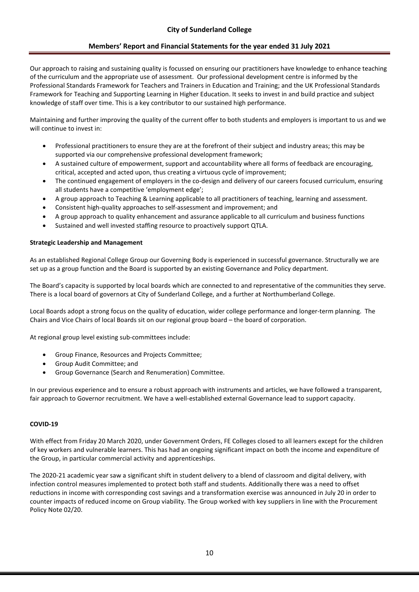Our approach to raising and sustaining quality is focussed on ensuring our practitioners have knowledge to enhance teaching of the curriculum and the appropriate use of assessment. Our professional development centre is informed by the Professional Standards Framework for Teachers and Trainers in Education and Training; and the UK Professional Standards Framework for Teaching and Supporting Learning in Higher Education. It seeks to invest in and build practice and subject knowledge of staff over time. This is a key contributor to our sustained high performance.

Maintaining and further improving the quality of the current offer to both students and employers is important to us and we will continue to invest in:

- Professional practitioners to ensure they are at the forefront of their subject and industry areas; this may be supported via our comprehensive professional development framework;
- A sustained culture of empowerment, support and accountability where all forms of feedback are encouraging, critical, accepted and acted upon, thus creating a virtuous cycle of improvement;
- The continued engagement of employers in the co-design and delivery of our careers focused curriculum, ensuring all students have a competitive 'employment edge';
- A group approach to Teaching & Learning applicable to all practitioners of teaching, learning and assessment.
- Consistent high-quality approaches to self-assessment and improvement; and
- A group approach to quality enhancement and assurance applicable to all curriculum and business functions
- Sustained and well invested staffing resource to proactively support QTLA.

### **Strategic Leadership and Management**

As an established Regional College Group our Governing Body is experienced in successful governance. Structurally we are set up as a group function and the Board is supported by an existing Governance and Policy department.

The Board's capacity is supported by local boards which are connected to and representative of the communities they serve. There is a local board of governors at City of Sunderland College, and a further at Northumberland College.

Local Boards adopt a strong focus on the quality of education, wider college performance and longer-term planning. The Chairs and Vice Chairs of local Boards sit on our regional group board – the board of corporation.

At regional group level existing sub-committees include:

- Group Finance, Resources and Projects Committee;
- Group Audit Committee; and
- Group Governance (Search and Renumeration) Committee.

In our previous experience and to ensure a robust approach with instruments and articles, we have followed a transparent, fair approach to Governor recruitment. We have a well-established external Governance lead to support capacity.

### **COVID-19**

With effect from Friday 20 March 2020, under Government Orders, FE Colleges closed to all learners except for the children of key workers and vulnerable learners. This has had an ongoing significant impact on both the income and expenditure of the Group, in particular commercial activity and apprenticeships.

The 2020-21 academic year saw a significant shift in student delivery to a blend of classroom and digital delivery, with infection control measures implemented to protect both staff and students. Additionally there was a need to offset reductions in income with corresponding cost savings and a transformation exercise was announced in July 20 in order to counter impacts of reduced income on Group viability. The Group worked with key suppliers in line with the Procurement Policy Note 02/20.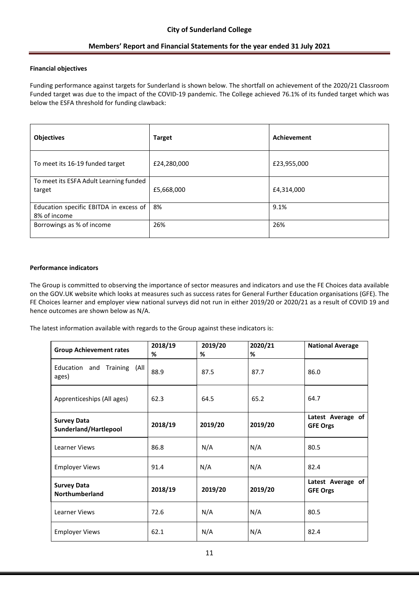### **Financial objectives**

Funding performance against targets for Sunderland is shown below. The shortfall on achievement of the 2020/21 Classroom Funded target was due to the impact of the COVID-19 pandemic. The College achieved 76.1% of its funded target which was below the ESFA threshold for funding clawback:

| <b>Objectives</b>                                      | <b>Target</b> | Achievement |
|--------------------------------------------------------|---------------|-------------|
| To meet its 16-19 funded target                        | £24,280,000   | £23,955,000 |
| To meet its ESFA Adult Learning funded<br>target       | £5,668,000    | £4,314,000  |
| Education specific EBITDA in excess of<br>8% of income | 8%            | 9.1%        |
| Borrowings as % of income                              | 26%           | 26%         |

### **Performance indicators**

The Group is committed to observing the importance of sector measures and indicators and use the FE Choices data available on the GOV.UK website which looks at measures such as success rates for General Further Education organisations (GFE). The FE Choices learner and employer view national surveys did not run in either 2019/20 or 2020/21 as a result of COVID 19 and hence outcomes are shown below as N/A.

The latest information available with regards to the Group against these indicators is:

| <b>Group Achievement rates</b>              | 2018/19<br>% | 2019/20<br>% | 2020/21<br>% | <b>National Average</b>              |
|---------------------------------------------|--------------|--------------|--------------|--------------------------------------|
| Education and<br>Training (All<br>ages)     | 88.9         | 87.5         | 87.7         | 86.0                                 |
| Apprenticeships (All ages)                  | 62.3         | 64.5         | 65.2         | 64.7                                 |
| <b>Survey Data</b><br>Sunderland/Hartlepool | 2018/19      | 2019/20      | 2019/20      | Latest Average of<br><b>GFE Orgs</b> |
| Learner Views                               | 86.8         | N/A          | N/A          | 80.5                                 |
| <b>Employer Views</b>                       | 91.4         | N/A          | N/A          | 82.4                                 |
| <b>Survey Data</b><br><b>Northumberland</b> | 2018/19      | 2019/20      | 2019/20      | Latest Average of<br><b>GFE Orgs</b> |
| Learner Views                               | 72.6         | N/A          | N/A          | 80.5                                 |
| <b>Employer Views</b>                       | 62.1         | N/A          | N/A          | 82.4                                 |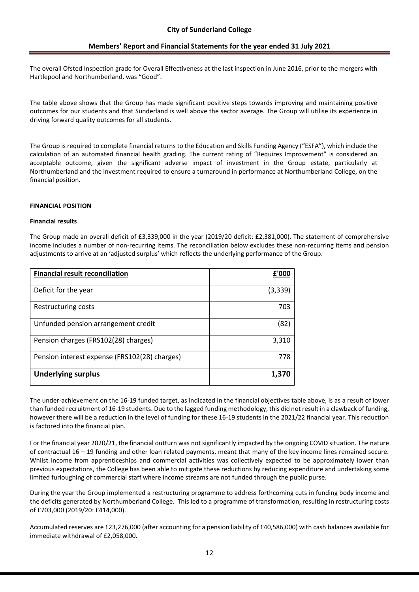The overall Ofsted Inspection grade for Overall Effectiveness at the last inspection in June 2016, prior to the mergers with Hartlepool and Northumberland, was "Good".

The table above shows that the Group has made significant positive steps towards improving and maintaining positive outcomes for our students and that Sunderland is well above the sector average. The Group will utilise its experience in driving forward quality outcomes for all students.

The Group is required to complete financial returns to the Education and Skills Funding Agency ("ESFA"), which include the calculation of an automated financial health grading. The current rating of "Requires Improvement" is considered an acceptable outcome, given the significant adverse impact of investment in the Group estate, particularly at Northumberland and the investment required to ensure a turnaround in performance at Northumberland College, on the financial position.

### **FINANCIAL POSITION**

#### **Financial results**

The Group made an overall deficit of £3,339,000 in the year (2019/20 deficit: £2,381,000). The statement of comprehensive income includes a number of non-recurring items. The reconciliation below excludes these non-recurring items and pension adjustments to arrive at an 'adjusted surplus' which reflects the underlying performance of the Group.

| <b>Financial result reconciliation</b>        | £'000   |
|-----------------------------------------------|---------|
| Deficit for the year                          | (3,339) |
| Restructuring costs                           | 703     |
| Unfunded pension arrangement credit           | (82)    |
| Pension charges (FRS102(28) charges)          | 3,310   |
| Pension interest expense (FRS102(28) charges) | 778     |
| <b>Underlying surplus</b>                     | 1,370   |

The under-achievement on the 16-19 funded target, as indicated in the financial objectives table above, is as a result of lower than funded recruitment of 16-19 students. Due to the lagged funding methodology, this did not result in a clawback of funding, however there will be a reduction in the level of funding for these 16-19 students in the 2021/22 financial year. This reduction is factored into the financial plan.

For the financial year 2020/21, the financial outturn was not significantly impacted by the ongoing COVID situation. The nature of contractual 16 – 19 funding and other loan related payments, meant that many of the key income lines remained secure. Whilst income from apprenticeships and commercial activities was collectively expected to be approximately lower than previous expectations, the College has been able to mitigate these reductions by reducing expenditure and undertaking some limited furloughing of commercial staff where income streams are not funded through the public purse.

During the year the Group implemented a restructuring programme to address forthcoming cuts in funding body income and the deficits generated by Northumberland College. This led to a programme of transformation, resulting in restructuring costs of £703,000 (2019/20: £414,000).

Accumulated reserves are £23,276,000 (after accounting for a pension liability of £40,586,000) with cash balances available for immediate withdrawal of £2,058,000.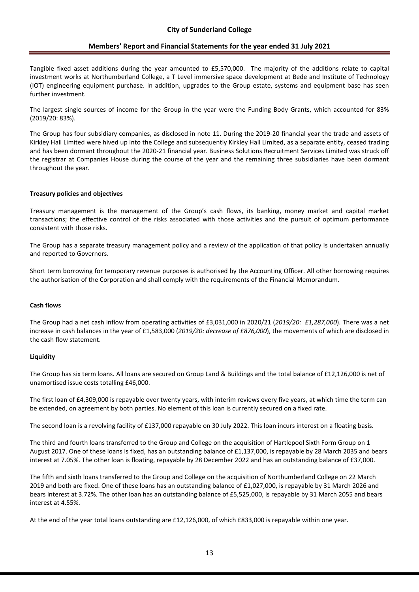Tangible fixed asset additions during the year amounted to £5,570,000. The majority of the additions relate to capital investment works at Northumberland College, a T Level immersive space development at Bede and Institute of Technology (IOT) engineering equipment purchase. In addition, upgrades to the Group estate, systems and equipment base has seen further investment.

The largest single sources of income for the Group in the year were the Funding Body Grants, which accounted for 83% (2019/20: 83%).

The Group has four subsidiary companies, as disclosed in note 11. During the 2019-20 financial year the trade and assets of Kirkley Hall Limited were hived up into the College and subsequently Kirkley Hall Limited, as a separate entity, ceased trading and has been dormant throughout the 2020-21 financial year. Business Solutions Recruitment Services Limited was struck off the registrar at Companies House during the course of the year and the remaining three subsidiaries have been dormant throughout the year.

#### **Treasury policies and objectives**

Treasury management is the management of the Group's cash flows, its banking, money market and capital market transactions; the effective control of the risks associated with those activities and the pursuit of optimum performance consistent with those risks.

The Group has a separate treasury management policy and a review of the application of that policy is undertaken annually and reported to Governors.

Short term borrowing for temporary revenue purposes is authorised by the Accounting Officer. All other borrowing requires the authorisation of the Corporation and shall comply with the requirements of the Financial Memorandum.

#### **Cash flows**

The Group had a net cash inflow from operating activities of £3,031,000 in 2020/21 (*2019/20: £1,287,000*). There was a net increase in cash balances in the year of £1,583,000 (*2019/20: decrease of £876,000*), the movements of which are disclosed in the cash flow statement.

### **Liquidity**

The Group has six term loans. All loans are secured on Group Land & Buildings and the total balance of £12,126,000 is net of unamortised issue costs totalling £46,000.

The first loan of £4,309,000 is repayable over twenty years, with interim reviews every five years, at which time the term can be extended, on agreement by both parties. No element of this loan is currently secured on a fixed rate.

The second loan is a revolving facility of £137,000 repayable on 30 July 2022. This loan incurs interest on a floating basis.

The third and fourth loans transferred to the Group and College on the acquisition of Hartlepool Sixth Form Group on 1 August 2017. One of these loans is fixed, has an outstanding balance of £1,137,000, is repayable by 28 March 2035 and bears interest at 7.05%. The other loan is floating, repayable by 28 December 2022 and has an outstanding balance of £37,000.

The fifth and sixth loans transferred to the Group and College on the acquisition of Northumberland College on 22 March 2019 and both are fixed. One of these loans has an outstanding balance of £1,027,000, is repayable by 31 March 2026 and bears interest at 3.72%. The other loan has an outstanding balance of £5,525,000, is repayable by 31 March 2055 and bears interest at 4.55%.

At the end of the year total loans outstanding are £12,126,000, of which £833,000 is repayable within one year.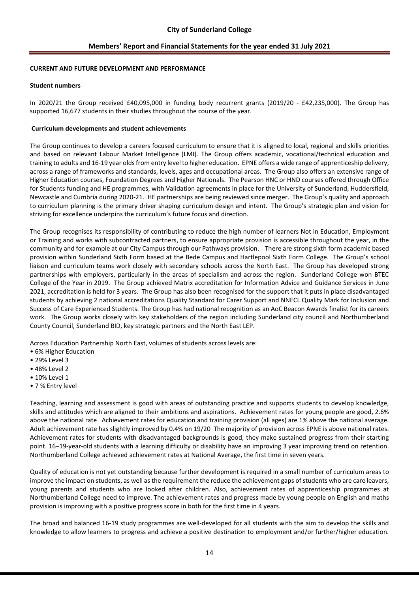#### **CURRENT AND FUTURE DEVELOPMENT AND PERFORMANCE**

#### **Student numbers**

In 2020/21 the Group received £40,095,000 in funding body recurrent grants (2019/20 - £42,235,000). The Group has supported 16,677 students in their studies throughout the course of the year.

#### **Curriculum developments and student achievements**

The Group continues to develop a careers focused curriculum to ensure that it is aligned to local, regional and skills priorities and based on relevant Labour Market Intelligence (LMI). The Group offers academic, vocational/technical education and training to adults and 16-19 year olds from entry level to higher education. EPNE offers a wide range of apprenticeship delivery, across a range of frameworks and standards, levels, ages and occupational areas. The Group also offers an extensive range of Higher Education courses, Foundation Degrees and Higher Nationals. The Pearson HNC or HND courses offered through Office for Students funding and HE programmes, with Validation agreements in place for the University of Sunderland, Huddersfield, Newcastle and Cumbria during 2020-21. HE partnerships are being reviewed since merger. The Group's quality and approach to curriculum planning is the primary driver shaping curriculum design and intent. The Group's strategic plan and vision for striving for excellence underpins the curriculum's future focus and direction.

The Group recognises its responsibility of contributing to reduce the high number of learners Not in Education, Employment or Training and works with subcontracted partners, to ensure appropriate provision is accessible throughout the year, in the community and for example at our City Campus through our Pathways provision. There are strong sixth form academic based provision within Sunderland Sixth Form based at the Bede Campus and Hartlepool Sixth Form College. The Group's school liaison and curriculum teams work closely with secondary schools across the North East. The Group has developed strong partnerships with employers, particularly in the areas of specialism and across the region. Sunderland College won BTEC College of the Year in 2019. The Group achieved Matrix accreditation for Information Advice and Guidance Services in June 2021, accreditation is held for 3 years. The Group has also been recognised for the support that it puts in place disadvantaged students by achieving 2 national accreditations Quality Standard for Carer Support and NNECL Quality Mark for Inclusion and Success of Care Experienced Students. The Group has had national recognition as an AoC Beacon Awards finalist for its careers work. The Group works closely with key stakeholders of the region including Sunderland city council and Northumberland County Council, Sunderland BID, key strategic partners and the North East LEP.

Across Education Partnership North East, volumes of students across levels are:

- 6% Higher Education
- 29% Level 3
- 48% Level 2
- 10% Level 1
- 7 % Entry level

Teaching, learning and assessment is good with areas of outstanding practice and supports students to develop knowledge, skills and attitudes which are aligned to their ambitions and aspirations. Achievement rates for young people are good, 2.6% above the national rate Achievement rates for education and training provision (all ages) are 1% above the national average. Adult achievement rate has slightly improved by 0.4% on 19/20 The majority of provision across EPNE is above national rates. Achievement rates for students with disadvantaged backgrounds is good, they make sustained progress from their starting point. 16–19-year-old students with a learning difficulty or disability have an improving 3 year improving trend on retention. Northumberland College achieved achievement rates at National Average, the first time in seven years.

Quality of education is not yet outstanding because further development is required in a small number of curriculum areas to improve the impact on students, as well as the requirement the reduce the achievement gaps of students who are care leavers, young parents and students who are looked after children. Also, achievement rates of apprenticeship programmes at Northumberland College need to improve. The achievement rates and progress made by young people on English and maths provision is improving with a positive progress score in both for the first time in 4 years.

The broad and balanced 16-19 study programmes are well-developed for all students with the aim to develop the skills and knowledge to allow learners to progress and achieve a positive destination to employment and/or further/higher education.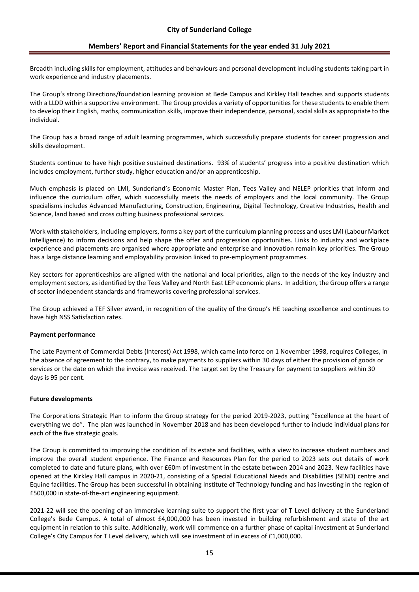Breadth including skills for employment, attitudes and behaviours and personal development including students taking part in work experience and industry placements.

The Group's strong Directions/foundation learning provision at Bede Campus and Kirkley Hall teaches and supports students with a LLDD within a supportive environment. The Group provides a variety of opportunities for these students to enable them to develop their English, maths, communication skills, improve their independence, personal, social skills as appropriate to the individual.

The Group has a broad range of adult learning programmes, which successfully prepare students for career progression and skills development.

Students continue to have high positive sustained destinations. 93% of students' progress into a positive destination which includes employment, further study, higher education and/or an apprenticeship.

Much emphasis is placed on LMI, Sunderland's Economic Master Plan, Tees Valley and NELEP priorities that inform and influence the curriculum offer, which successfully meets the needs of employers and the local community. The Group specialisms includes Advanced Manufacturing, Construction, Engineering, Digital Technology, Creative Industries, Health and Science, land based and cross cutting business professional services.

Work with stakeholders, including employers, forms a key part of the curriculum planning process and uses LMI (Labour Market Intelligence) to inform decisions and help shape the offer and progression opportunities. Links to industry and workplace experience and placements are organised where appropriate and enterprise and innovation remain key priorities. The Group has a large distance learning and employability provision linked to pre-employment programmes.

Key sectors for apprenticeships are aligned with the national and local priorities, align to the needs of the key industry and employment sectors, as identified by the Tees Valley and North East LEP economic plans. In addition, the Group offers a range of sector independent standards and frameworks covering professional services.

The Group achieved a TEF Silver award, in recognition of the quality of the Group's HE teaching excellence and continues to have high NSS Satisfaction rates.

### **Payment performance**

The Late Payment of Commercial Debts (Interest) Act 1998, which came into force on 1 November 1998, requires Colleges, in the absence of agreement to the contrary, to make payments to suppliers within 30 days of either the provision of goods or services or the date on which the invoice was received. The target set by the Treasury for payment to suppliers within 30 days is 95 per cent.

### **Future developments**

The Corporations Strategic Plan to inform the Group strategy for the period 2019-2023, putting "Excellence at the heart of everything we do". The plan was launched in November 2018 and has been developed further to include individual plans for each of the five strategic goals.

The Group is committed to improving the condition of its estate and facilities, with a view to increase student numbers and improve the overall student experience. The Finance and Resources Plan for the period to 2023 sets out details of work completed to date and future plans, with over £60m of investment in the estate between 2014 and 2023. New facilities have opened at the Kirkley Hall campus in 2020-21, consisting of a Special Educational Needs and Disabilities (SEND) centre and Equine facilities. The Group has been successful in obtaining Institute of Technology funding and has investing in the region of £500,000 in state-of-the-art engineering equipment.

2021-22 will see the opening of an immersive learning suite to support the first year of T Level delivery at the Sunderland College's Bede Campus. A total of almost £4,000,000 has been invested in building refurbishment and state of the art equipment in relation to this suite. Additionally, work will commence on a further phase of capital investment at Sunderland College's City Campus for T Level delivery, which will see investment of in excess of £1,000,000.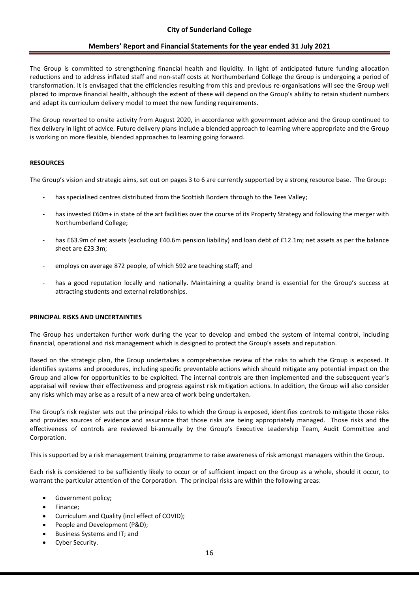The Group is committed to strengthening financial health and liquidity. In light of anticipated future funding allocation reductions and to address inflated staff and non-staff costs at Northumberland College the Group is undergoing a period of transformation. It is envisaged that the efficiencies resulting from this and previous re-organisations will see the Group well placed to improve financial health, although the extent of these will depend on the Group's ability to retain student numbers and adapt its curriculum delivery model to meet the new funding requirements.

The Group reverted to onsite activity from August 2020, in accordance with government advice and the Group continued to flex delivery in light of advice. Future delivery plans include a blended approach to learning where appropriate and the Group is working on more flexible, blended approaches to learning going forward.

#### **RESOURCES**

The Group's vision and strategic aims, set out on pages 3 to 6 are currently supported by a strong resource base. The Group:

- has specialised centres distributed from the Scottish Borders through to the Tees Valley:
- has invested £60m+ in state of the art facilities over the course of its Property Strategy and following the merger with Northumberland College;
- has £63.9m of net assets (excluding £40.6m pension liability) and loan debt of £12.1m; net assets as per the balance sheet are £23.3m;
- employs on average 872 people, of which 592 are teaching staff; and
- has a good reputation locally and nationally. Maintaining a quality brand is essential for the Group's success at attracting students and external relationships.

#### **PRINCIPAL RISKS AND UNCERTAINTIES**

The Group has undertaken further work during the year to develop and embed the system of internal control, including financial, operational and risk management which is designed to protect the Group's assets and reputation.

Based on the strategic plan, the Group undertakes a comprehensive review of the risks to which the Group is exposed. It identifies systems and procedures, including specific preventable actions which should mitigate any potential impact on the Group and allow for opportunities to be exploited. The internal controls are then implemented and the subsequent year's appraisal will review their effectiveness and progress against risk mitigation actions. In addition, the Group will also consider any risks which may arise as a result of a new area of work being undertaken.

The Group's risk register sets out the principal risks to which the Group is exposed, identifies controls to mitigate those risks and provides sources of evidence and assurance that those risks are being appropriately managed. Those risks and the effectiveness of controls are reviewed bi-annually by the Group's Executive Leadership Team, Audit Committee and Corporation.

This is supported by a risk management training programme to raise awareness of risk amongst managers within the Group.

Each risk is considered to be sufficiently likely to occur or of sufficient impact on the Group as a whole, should it occur, to warrant the particular attention of the Corporation. The principal risks are within the following areas:

- Government policy;
- Finance;
- Curriculum and Quality (incl effect of COVID);
- People and Development (P&D);
- Business Systems and IT; and
- Cyber Security.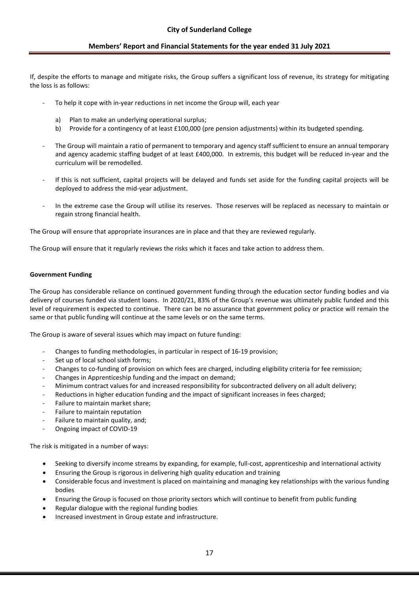If, despite the efforts to manage and mitigate risks, the Group suffers a significant loss of revenue, its strategy for mitigating the loss is as follows:

- To help it cope with in-year reductions in net income the Group will, each year
	- a) Plan to make an underlying operational surplus;
	- b) Provide for a contingency of at least £100,000 (pre pension adjustments) within its budgeted spending.
- The Group will maintain a ratio of permanent to temporary and agency staff sufficient to ensure an annual temporary and agency academic staffing budget of at least £400,000. In extremis, this budget will be reduced in-year and the curriculum will be remodelled.
- If this is not sufficient, capital projects will be delayed and funds set aside for the funding capital projects will be deployed to address the mid-year adjustment.
- In the extreme case the Group will utilise its reserves. Those reserves will be replaced as necessary to maintain or regain strong financial health.

The Group will ensure that appropriate insurances are in place and that they are reviewed regularly.

The Group will ensure that it regularly reviews the risks which it faces and take action to address them.

### **Government Funding**

The Group has considerable reliance on continued government funding through the education sector funding bodies and via delivery of courses funded via student loans. In 2020/21, 83% of the Group's revenue was ultimately public funded and this level of requirement is expected to continue. There can be no assurance that government policy or practice will remain the same or that public funding will continue at the same levels or on the same terms.

The Group is aware of several issues which may impact on future funding:

- Changes to funding methodologies, in particular in respect of 16-19 provision;
- Set up of local school sixth forms;
- Changes to co-funding of provision on which fees are charged, including eligibility criteria for fee remission;
- Changes in Apprenticeship funding and the impact on demand;
- Minimum contract values for and increased responsibility for subcontracted delivery on all adult delivery;
- Reductions in higher education funding and the impact of significant increases in fees charged;
- Failure to maintain market share;
- Failure to maintain reputation
- Failure to maintain quality, and;
- Ongoing impact of COVID-19

The risk is mitigated in a number of ways:

- Seeking to diversify income streams by expanding, for example, full-cost, apprenticeship and international activity
- Ensuring the Group is rigorous in delivering high quality education and training
- Considerable focus and investment is placed on maintaining and managing key relationships with the various funding bodies
- Ensuring the Group is focused on those priority sectors which will continue to benefit from public funding
- Regular dialogue with the regional funding bodies
- Increased investment in Group estate and infrastructure.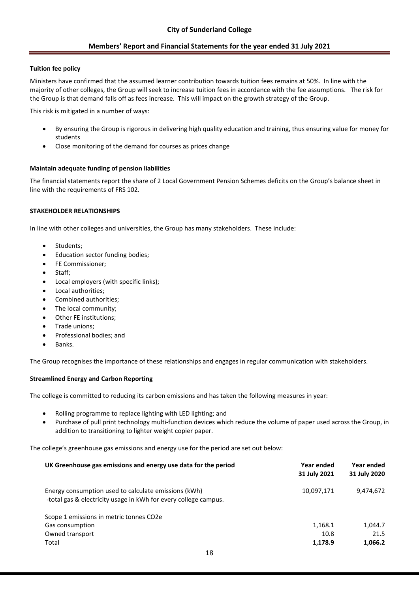### **Tuition fee policy**

Ministers have confirmed that the assumed learner contribution towards tuition fees remains at 50%. In line with the majority of other colleges, the Group will seek to increase tuition fees in accordance with the fee assumptions. The risk for the Group is that demand falls off as fees increase. This will impact on the growth strategy of the Group.

This risk is mitigated in a number of ways:

- By ensuring the Group is rigorous in delivering high quality education and training, thus ensuring value for money for students
- Close monitoring of the demand for courses as prices change

### **Maintain adequate funding of pension liabilities**

The financial statements report the share of 2 Local Government Pension Schemes deficits on the Group's balance sheet in line with the requirements of FRS 102.

### **STAKEHOLDER RELATIONSHIPS**

In line with other colleges and universities, the Group has many stakeholders. These include:

- Students;
- Education sector funding bodies;
- FE Commissioner;
- Staff;
- Local employers (with specific links);
- Local authorities;
- Combined authorities;
- The local community:
- Other FE institutions;
- Trade unions;
- Professional bodies; and
- Banks.

The Group recognises the importance of these relationships and engages in regular communication with stakeholders.

### **Streamlined Energy and Carbon Reporting**

The college is committed to reducing its carbon emissions and has taken the following measures in year:

- Rolling programme to replace lighting with LED lighting; and
- Purchase of pull print technology multi-function devices which reduce the volume of paper used across the Group, in addition to transitioning to lighter weight copier paper.

The college's greenhouse gas emissions and energy use for the period are set out below:

| UK Greenhouse gas emissions and energy use data for the period                                                          | Year ended<br>31 July 2021 | Year ended<br>31 July 2020 |
|-------------------------------------------------------------------------------------------------------------------------|----------------------------|----------------------------|
| Energy consumption used to calculate emissions (kWh)<br>-total gas & electricity usage in kWh for every college campus. | 10,097,171                 | 9,474,672                  |
| Scope 1 emissions in metric tonnes CO2e                                                                                 |                            |                            |
| Gas consumption                                                                                                         | 1,168.1                    | 1,044.7                    |
| Owned transport                                                                                                         | 10.8                       | 21.5                       |
| Total                                                                                                                   | 1,178.9                    | 1,066.2                    |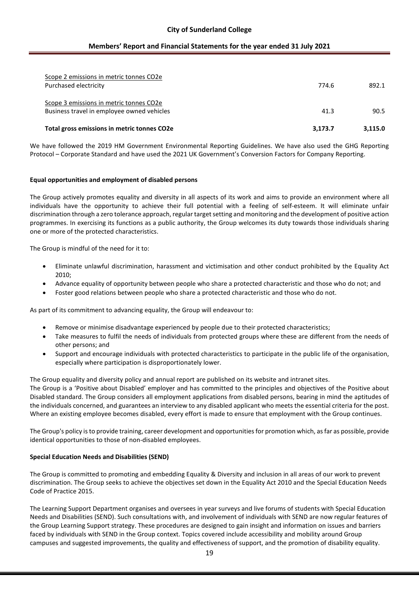### **City of Sunderland College**

### **Members' Report and Financial Statements for the year ended 31 July 2021**

| Scope 2 emissions in metric tonnes CO2e<br>Purchased electricity                      | 774.6   | 892.1   |
|---------------------------------------------------------------------------------------|---------|---------|
| Scope 3 emissions in metric tonnes CO2e<br>Business travel in employee owned vehicles | 41.3    | 90.5    |
| Total gross emissions in metric tonnes CO2e                                           | 3.173.7 | 3.115.0 |

We have followed the 2019 HM Government Environmental Reporting Guidelines. We have also used the GHG Reporting Protocol – Corporate Standard and have used the 2021 UK Government's Conversion Factors for Company Reporting.

#### **Equal opportunities and employment of disabled persons**

The Group actively promotes equality and diversity in all aspects of its work and aims to provide an environment where all individuals have the opportunity to achieve their full potential with a feeling of self-esteem. It will eliminate unfair discrimination through a zero tolerance approach, regular target setting and monitoring and the development of positive action programmes. In exercising its functions as a public authority, the Group welcomes its duty towards those individuals sharing one or more of the protected characteristics.

The Group is mindful of the need for it to:

- Eliminate unlawful discrimination, harassment and victimisation and other conduct prohibited by the Equality Act 2010;
- Advance equality of opportunity between people who share a protected characteristic and those who do not; and
- Foster good relations between people who share a protected characteristic and those who do not.

As part of its commitment to advancing equality, the Group will endeavour to:

- Remove or minimise disadvantage experienced by people due to their protected characteristics;
- Take measures to fulfil the needs of individuals from protected groups where these are different from the needs of other persons; and
- Support and encourage individuals with protected characteristics to participate in the public life of the organisation, especially where participation is disproportionately lower.

The Group equality and diversity policy and annual report are published on its website and intranet sites.

The Group is a 'Positive about Disabled' employer and has committed to the principles and objectives of the Positive about Disabled standard. The Group considers all employment applications from disabled persons, bearing in mind the aptitudes of the individuals concerned, and guarantees an interview to any disabled applicant who meets the essential criteria for the post. Where an existing employee becomes disabled, every effort is made to ensure that employment with the Group continues.

The Group's policy is to provide training, career development and opportunities for promotion which, as far as possible, provide identical opportunities to those of non-disabled employees.

### **Special Education Needs and Disabilities (SEND)**

The Group is committed to promoting and embedding Equality & Diversity and inclusion in all areas of our work to prevent discrimination. The Group seeks to achieve the objectives set down in the Equality Act 2010 and the Special Education Needs Code of Practice 2015.

The Learning Support Department organises and oversees in year surveys and live forums of students with Special Education Needs and Disabilities (SEND). Such consultations with, and involvement of individuals with SEND are now regular features of the Group Learning Support strategy. These procedures are designed to gain insight and information on issues and barriers faced by individuals with SEND in the Group context. Topics covered include accessibility and mobility around Group campuses and suggested improvements, the quality and effectiveness of support, and the promotion of disability equality.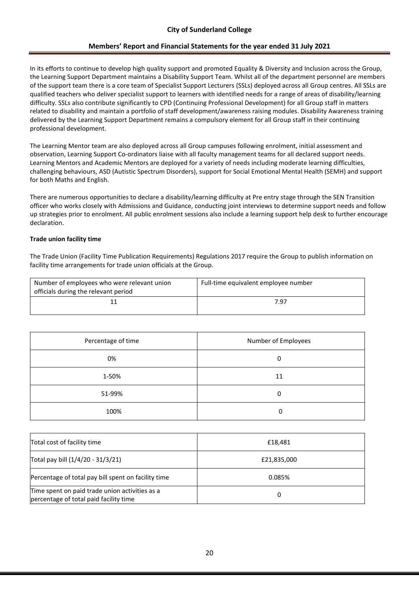In its efforts to continue to develop high quality support and promoted Equality & Diversity and Inclusion across the Group, the Learning Support Department maintains a Disability Support Team. Whilst all of the department personnel are members of the support team there is a core team of Specialist Support Lecturers (SSLs) deployed across all Group centres. All SSLs are qualified teachers who deliver specialist support to learners with identified needs for a range of areas of disability/learning difficulty. SSLs also contribute significantly to CPD (Continuing Professional Development) for all Group staff in matters related to disability and maintain a portfolio of staff development/awareness raising modules. Disability Awareness training delivered by the Learning Support Department remains a compulsory element for all Group staff in their continuing professional development.

The Learning Mentor team are also deployed across all Group campuses following enrolment, initial assessment and observation, Learning Support Co-ordinators liaise with all faculty management teams for all declared support needs. Learning Mentors and Academic Mentors are deployed for a variety of needs including moderate learning difficulties, challenging behaviours, ASD (Autistic Spectrum Disorders), support for Social Emotional Mental Health (SEMH) and support for both Maths and English.

There are numerous opportunities to declare a disability/learning difficulty at Pre entry stage through the SEN Transition officer who works closely with Admissions and Guidance, conducting joint interviews to determine support needs and follow up strategies prior to enrolment. All public enrolment sessions also include a learning support help desk to further encourage declaration.

### **Trade union facility time**

The Trade Union (Facility Time Publication Requirements) Regulations 2017 require the Group to publish information on facility time arrangements for trade union officials at the Group.

| Number of employees who were relevant union<br>officials during the relevant period | Full-time equivalent employee number |
|-------------------------------------------------------------------------------------|--------------------------------------|
|                                                                                     | 7.97                                 |

| Percentage of time | Number of Employees |
|--------------------|---------------------|
| 0%                 | 0                   |
| 1-50%              | 11                  |
| 51-99%             | 0                   |
| 100%               | 0                   |

| Total cost of facility time                                                              | £18.481     |
|------------------------------------------------------------------------------------------|-------------|
| Total pay bill (1/4/20 - 31/3/21)                                                        | £21,835,000 |
| Percentage of total pay bill spent on facility time                                      | 0.085%      |
| Time spent on paid trade union activities as a<br>percentage of total paid facility time | 0           |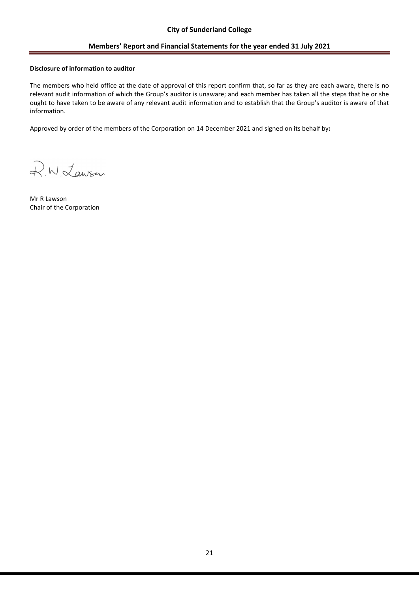### **Disclosure of information to auditor**

The members who held office at the date of approval of this report confirm that, so far as they are each aware, there is no relevant audit information of which the Group's auditor is unaware; and each member has taken all the steps that he or she ought to have taken to be aware of any relevant audit information and to establish that the Group's auditor is aware of that information.

R.W. Lawson

Mr R Lawson Chair of the Corporation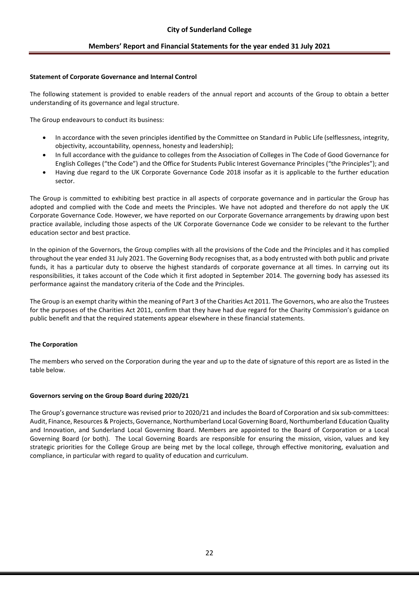### **Statement of Corporate Governance and Internal Control**

The following statement is provided to enable readers of the annual report and accounts of the Group to obtain a better understanding of its governance and legal structure.

The Group endeavours to conduct its business:

- In accordance with the seven principles identified by the Committee on Standard in Public Life (selflessness, integrity, objectivity, accountability, openness, honesty and leadership);
- In full accordance with the guidance to colleges from the Association of Colleges in The Code of Good Governance for English Colleges ("the Code") and the Office for Students Public Interest Governance Principles ("the Principles"); and
- Having due regard to the UK Corporate Governance Code 2018 insofar as it is applicable to the further education sector.

The Group is committed to exhibiting best practice in all aspects of corporate governance and in particular the Group has adopted and complied with the Code and meets the Principles. We have not adopted and therefore do not apply the UK Corporate Governance Code. However, we have reported on our Corporate Governance arrangements by drawing upon best practice available, including those aspects of the UK Corporate Governance Code we consider to be relevant to the further education sector and best practice.

In the opinion of the Governors, the Group complies with all the provisions of the Code and the Principles and it has complied throughout the year ended 31 July 2021. The Governing Body recognises that, as a body entrusted with both public and private funds, it has a particular duty to observe the highest standards of corporate governance at all times. In carrying out its responsibilities, it takes account of the Code which it first adopted in September 2014. The governing body has assessed its performance against the mandatory criteria of the Code and the Principles.

The Group is an exempt charity within the meaning of Part 3 of the Charities Act 2011. The Governors, who are also the Trustees for the purposes of the Charities Act 2011, confirm that they have had due regard for the Charity Commission's guidance on public benefit and that the required statements appear elsewhere in these financial statements.

### **The Corporation**

The members who served on the Corporation during the year and up to the date of signature of this report are as listed in the table below.

### **Governors serving on the Group Board during 2020/21**

The Group's governance structure was revised prior to 2020/21 and includes the Board of Corporation and six sub-committees: Audit, Finance, Resources & Projects, Governance, Northumberland Local Governing Board, Northumberland Education Quality and Innovation, and Sunderland Local Governing Board. Members are appointed to the Board of Corporation or a Local Governing Board (or both). The Local Governing Boards are responsible for ensuring the mission, vision, values and key strategic priorities for the College Group are being met by the local college, through effective monitoring, evaluation and compliance, in particular with regard to quality of education and curriculum.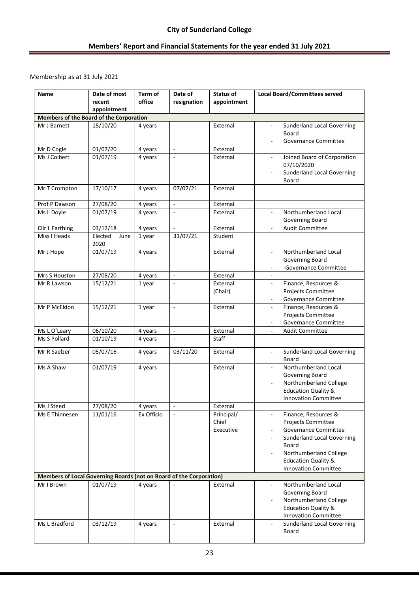Membership as at 31 July 2021

| Name                                                                | Date of most<br>recent<br>appointment | Term of<br>office | Date of<br>resignation   | <b>Status of</b><br>appointment  | <b>Local Board/Committees served</b>                                                                                                                                                                                                           |
|---------------------------------------------------------------------|---------------------------------------|-------------------|--------------------------|----------------------------------|------------------------------------------------------------------------------------------------------------------------------------------------------------------------------------------------------------------------------------------------|
| <b>Members of the Board of the Corporation</b>                      |                                       |                   |                          |                                  |                                                                                                                                                                                                                                                |
| Mr J Barnett                                                        | 18/10/20                              | 4 years           |                          | External                         | <b>Sunderland Local Governing</b><br>Board<br><b>Governance Committee</b><br>$\overline{\phantom{a}}$                                                                                                                                          |
| Mr D Cogle                                                          | 01/07/20                              | 4 years           | $\blacksquare$           | External                         |                                                                                                                                                                                                                                                |
| Ms J Colbert                                                        | 01/07/19                              | 4 years           | $\overline{\phantom{a}}$ | External                         | Joined Board of Corporation<br>$\overline{\phantom{a}}$<br>07/10/2020<br><b>Sunderland Local Governing</b><br>Board                                                                                                                            |
| Mr T Crompton                                                       | 17/10/17                              | 4 years           | 07/07/21                 | External                         |                                                                                                                                                                                                                                                |
| Prof P Dawson                                                       | 27/08/20                              | 4 years           | $\blacksquare$           | External                         |                                                                                                                                                                                                                                                |
| Ms L Doyle                                                          | 01/07/19                              | 4 years           | $\overline{\phantom{a}}$ | External                         | Northumberland Local<br>$\overline{\phantom{a}}$<br>Governing Board                                                                                                                                                                            |
| Cllr L Farthing                                                     | 03/12/18                              | 4 years           | $\blacksquare$           | External                         | <b>Audit Committee</b><br>٠                                                                                                                                                                                                                    |
| Miss I Heads                                                        | Elected<br>June<br>2020               | 1 year            | 31/07/21                 | Student                          |                                                                                                                                                                                                                                                |
| Mr J Hope                                                           | 01/07/19                              | 4 years           |                          | External                         | Northumberland Local<br>$\overline{\phantom{a}}$<br>Governing Board<br>-Governance Committee<br>$\overline{\phantom{a}}$                                                                                                                       |
| Mrs S Houston                                                       | 27/08/20                              | 4 years           | $\blacksquare$           | External                         | $\blacksquare$                                                                                                                                                                                                                                 |
| Mr R Lawson                                                         | 15/12/21                              | 1 year            | $\overline{\phantom{a}}$ | External<br>(Chair)              | Finance, Resources &<br>$\overline{\phantom{a}}$<br><b>Projects Committee</b><br>Governance Committee                                                                                                                                          |
| Mr P McEldon                                                        | 15/12/21                              | 1 year            | $\bar{a}$                | External                         | Finance, Resources &<br>Projects Committee<br><b>Governance Committee</b>                                                                                                                                                                      |
| Ms L O'Leary                                                        | 06/10/20                              | 4 years           | $\blacksquare$           | External                         | <b>Audit Committee</b><br>$\overline{\phantom{a}}$                                                                                                                                                                                             |
| Ms S Pollard                                                        | 01/10/19                              | 4 years           | $\overline{\phantom{a}}$ | Staff                            |                                                                                                                                                                                                                                                |
| Mr R Saelzer                                                        | 05/07/16                              | 4 years           | 03/11/20                 | External                         | <b>Sunderland Local Governing</b><br>$\blacksquare$<br>Board                                                                                                                                                                                   |
| Ms A Shaw                                                           | 01/07/19                              | 4 years           |                          | External                         | Northumberland Local<br><b>Governing Board</b><br>Northumberland College<br><b>Education Quality &amp;</b><br><b>Innovation Committee</b>                                                                                                      |
| Ms J Steed                                                          | 27/08/20                              | 4 years           | $\overline{\phantom{a}}$ | External                         |                                                                                                                                                                                                                                                |
| Ms E Thinnesen                                                      | 11/01/16                              | Ex Officio        |                          | Principal/<br>Chief<br>Executive | Finance, Resources &<br>$\overline{\phantom{a}}$<br><b>Projects Committee</b><br>Governance Committee<br><b>Sunderland Local Governing</b><br>Board<br>Northumberland College<br><b>Education Quality &amp;</b><br><b>Innovation Committee</b> |
| Members of Local Governing Boards (not on Board of the Corporation) |                                       |                   |                          |                                  |                                                                                                                                                                                                                                                |
| Mr I Brown                                                          | 01/07/19                              | 4 years           |                          | External                         | Northumberland Local<br>Governing Board<br>Northumberland College<br><b>Education Quality &amp;</b><br><b>Innovation Committee</b>                                                                                                             |
| Ms L Bradford                                                       | 03/12/19                              | 4 years           | $\Box$                   | External                         | <b>Sunderland Local Governing</b><br>$\overline{\phantom{a}}$<br>Board                                                                                                                                                                         |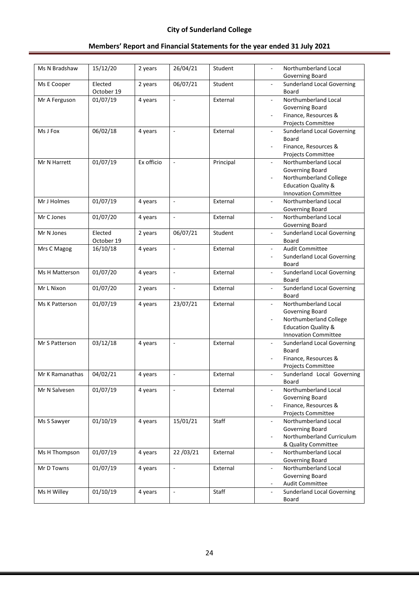| Ms N Bradshaw   | 15/12/20              | 2 years    | 26/04/21                 | Student   | Northumberland Local<br>Governing Board                                |
|-----------------|-----------------------|------------|--------------------------|-----------|------------------------------------------------------------------------|
| Ms E Cooper     | Elected<br>October 19 | 2 years    | 06/07/21                 | Student   | <b>Sunderland Local Governing</b><br>$\overline{a}$<br>Board           |
| Mr A Ferguson   | 01/07/19              | 4 years    | $\overline{\phantom{a}}$ | External  | Northumberland Local<br>$\blacksquare$                                 |
|                 |                       |            |                          |           | Governing Board                                                        |
|                 |                       |            |                          |           | Finance, Resources &                                                   |
|                 |                       |            |                          |           | Projects Committee                                                     |
| Ms J Fox        | 06/02/18              | 4 years    | $\overline{\phantom{a}}$ | External  | <b>Sunderland Local Governing</b>                                      |
|                 |                       |            |                          |           | <b>Board</b>                                                           |
|                 |                       |            |                          |           | Finance, Resources &                                                   |
|                 |                       |            |                          |           | Projects Committee                                                     |
| Mr N Harrett    | 01/07/19              | Ex officio | $\blacksquare$           | Principal | Northumberland Local<br>$\overline{\phantom{a}}$                       |
|                 |                       |            |                          |           | Governing Board                                                        |
|                 |                       |            |                          |           | Northumberland College                                                 |
|                 |                       |            |                          |           | <b>Education Quality &amp;</b>                                         |
|                 |                       |            |                          |           | <b>Innovation Committee</b>                                            |
| Mr J Holmes     | 01/07/19              | 4 years    | $\overline{\phantom{a}}$ | External  | Northumberland Local<br>$\overline{\phantom{a}}$                       |
|                 |                       |            |                          |           | Governing Board                                                        |
| Mr C Jones      | 01/07/20              | 4 years    | $\bar{\phantom{a}}$      | External  | Northumberland Local<br>÷,                                             |
|                 |                       |            |                          |           | Governing Board                                                        |
| Mr N Jones      | Elected<br>October 19 | 2 years    | 06/07/21                 | Student   | <b>Sunderland Local Governing</b><br>÷,<br>Board                       |
| Mrs C Magog     | 16/10/18              | 4 years    | $\mathbf{r}$             | External  | <b>Audit Committee</b><br>$\overline{\phantom{a}}$                     |
|                 |                       |            |                          |           | <b>Sunderland Local Governing</b><br>$\overline{\phantom{a}}$          |
|                 |                       |            |                          |           | Board                                                                  |
| Ms H Matterson  | 01/07/20              | 4 years    | $\blacksquare$           | External  | <b>Sunderland Local Governing</b><br>$\overline{\phantom{a}}$          |
|                 |                       |            |                          |           | Board                                                                  |
| Mr L Nixon      | 01/07/20              | 2 years    | $\Box$                   | External  | <b>Sunderland Local Governing</b><br>$\overline{\phantom{a}}$<br>Board |
| Ms K Patterson  | 01/07/19              | 4 years    | 23/07/21                 | External  | Northumberland Local                                                   |
|                 |                       |            |                          |           | Governing Board                                                        |
|                 |                       |            |                          |           | Northumberland College<br>÷,                                           |
|                 |                       |            |                          |           | <b>Education Quality &amp;</b>                                         |
|                 |                       |            |                          |           | <b>Innovation Committee</b>                                            |
| Mr S Patterson  | 03/12/18              | 4 years    | $\blacksquare$           | External  | <b>Sunderland Local Governing</b>                                      |
|                 |                       |            |                          |           | Board                                                                  |
|                 |                       |            |                          |           | Finance, Resources &                                                   |
|                 |                       |            |                          |           | Projects Committee                                                     |
| Mr K Ramanathas | 04/02/21              | 4 years    | $\overline{\phantom{a}}$ | External  | Sunderland Local Governing                                             |
|                 |                       |            |                          |           | Board                                                                  |
| Mr N Salvesen   | 01/07/19              | 4 years    | $\omega$                 | External  | Northumberland Local<br>$\blacksquare$                                 |
|                 |                       |            |                          |           | Governing Board                                                        |
|                 |                       |            |                          |           | Finance, Resources &                                                   |
|                 |                       |            |                          |           | Projects Committee                                                     |
| Ms S Sawyer     | 01/10/19              | 4 years    | 15/01/21                 | Staff     | Northumberland Local                                                   |
|                 |                       |            |                          |           | Governing Board                                                        |
|                 |                       |            |                          |           | Northumberland Curriculum                                              |
|                 |                       |            |                          |           | & Quality Committee                                                    |
| Ms H Thompson   | 01/07/19              | 4 years    | 22/03/21                 | External  | Northumberland Local<br>$\overline{\phantom{a}}$                       |
|                 |                       |            |                          |           | Governing Board                                                        |
| Mr D Towns      | 01/07/19              | 4 years    | $\omega$                 | External  | Northumberland Local<br>÷,                                             |
|                 |                       |            |                          |           | Governing Board                                                        |
|                 |                       |            |                          |           | <b>Audit Committee</b>                                                 |
| Ms H Willey     | 01/10/19              | 4 years    | $\overline{\phantom{a}}$ | Staff     | <b>Sunderland Local Governing</b>                                      |
|                 |                       |            |                          |           | Board                                                                  |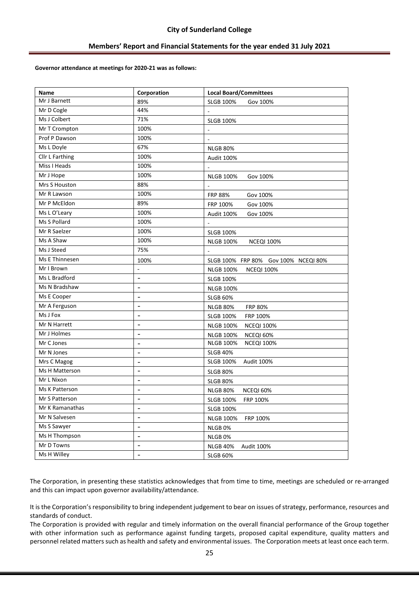#### **Governor attendance at meetings for 2020-21 was as follows:**

| Name            | Corporation              | <b>Local Board/Committees</b>         |
|-----------------|--------------------------|---------------------------------------|
| Mr J Barnett    | 89%                      | <b>SLGB 100%</b><br>Gov 100%          |
| Mr D Cogle      | 44%                      |                                       |
| Ms J Colbert    | 71%                      | <b>SLGB 100%</b>                      |
| Mr T Crompton   | 100%                     |                                       |
| Prof P Dawson   | 100%                     |                                       |
| Ms L Doyle      | 67%                      | <b>NLGB 80%</b>                       |
| Cllr L Farthing | 100%                     | Audit 100%                            |
| Miss I Heads    | 100%                     |                                       |
| Mr J Hope       | 100%                     | <b>NLGB 100%</b><br>Gov 100%          |
| Mrs S Houston   | 88%                      |                                       |
| Mr R Lawson     | 100%                     | <b>FRP 88%</b><br>Gov 100%            |
| Mr P McEldon    | 89%                      | FRP 100%<br>Gov 100%                  |
| Ms L O'Leary    | 100%                     | Audit 100%<br>Gov 100%                |
| Ms S Pollard    | 100%                     |                                       |
| Mr R Saelzer    | 100%                     | <b>SLGB 100%</b>                      |
| Ms A Shaw       | 100%                     | <b>NLGB 100%</b><br><b>NCEQI 100%</b> |
| Ms J Steed      | 75%                      |                                       |
| Ms E Thinnesen  | 100%                     | SLGB 100% FRP 80% Gov 100% NCEQI 80%  |
| Mr I Brown      |                          | NLGB 100%<br><b>NCEQI 100%</b>        |
| Ms L Bradford   | $\overline{a}$           | <b>SLGB 100%</b>                      |
| Ms N Bradshaw   | $\overline{\phantom{a}}$ | <b>NLGB 100%</b>                      |
| Ms E Cooper     | -                        | <b>SLGB 60%</b>                       |
| Mr A Ferguson   | $\overline{a}$           | <b>NLGB 80%</b><br><b>FRP 80%</b>     |
| Ms J Fox        | $\overline{\phantom{0}}$ | <b>SLGB 100%</b><br>FRP 100%          |
| Mr N Harrett    |                          | <b>NLGB 100%</b><br><b>NCEQI 100%</b> |
| Mr J Holmes     | ۰                        | <b>NLGB 100%</b><br>NCEQI 60%         |
| Mr C Jones      | $\overline{a}$           | <b>NCEQI 100%</b><br><b>NLGB 100%</b> |
| Mr N Jones      |                          | <b>SLGB 40%</b>                       |
| Mrs C Magog     |                          | SLGB 100%<br>Audit 100%               |
| Ms H Matterson  | $\overline{\phantom{0}}$ | <b>SLGB 80%</b>                       |
| Mr L Nixon      | $\overline{\phantom{a}}$ | <b>SLGB 80%</b>                       |
| Ms K Patterson  | -                        | <b>NLGB 80%</b><br>NCEQI 60%          |
| Mr S Patterson  |                          | <b>SLGB 100%</b><br>FRP 100%          |
| Mr K Ramanathas | $\qquad \qquad -$        | <b>SLGB 100%</b>                      |
| Mr N Salvesen   | $\overline{\phantom{m}}$ | <b>NLGB 100%</b><br>FRP 100%          |
| Ms S Sawyer     | $\overline{\phantom{0}}$ | NLGB <sub>0%</sub>                    |
| Ms H Thompson   | $\overline{a}$           | NLGB 0%                               |
| Mr D Towns      | $\overline{a}$           | <b>NLGB 40%</b><br>Audit 100%         |
| Ms H Willey     | $\overline{\phantom{0}}$ | <b>SLGB 60%</b>                       |

The Corporation, in presenting these statistics acknowledges that from time to time, meetings are scheduled or re-arranged and this can impact upon governor availability/attendance.

It is the Corporation's responsibility to bring independent judgement to bear on issues of strategy, performance, resources and standards of conduct.

The Corporation is provided with regular and timely information on the overall financial performance of the Group together with other information such as performance against funding targets, proposed capital expenditure, quality matters and personnel related matters such as health and safety and environmental issues. The Corporation meets at least once each term.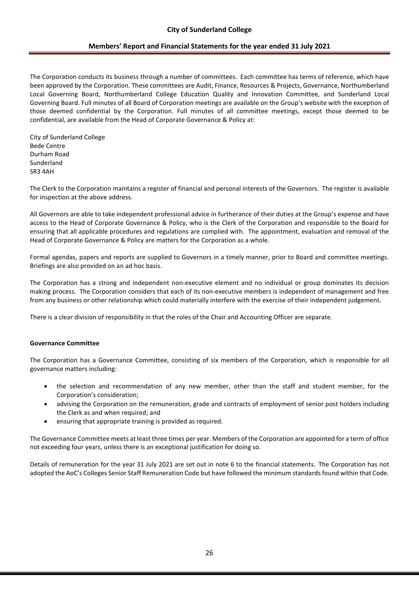The Corporation conducts its business through a number of committees. Each committee has terms of reference, which have been approved by the Corporation. These committees are Audit, Finance, Resources & Projects, Governance, Northumberland Local Governing Board, Northumberland College Education Quality and Innovation Committee, and Sunderland Local Governing Board. Full minutes of all Board of Corporation meetings are available on the Group's website with the exception of those deemed confidential by the Corporation. Full minutes of all committee meetings, except those deemed to be confidential, are available from the Head of Corporate Governance & Policy at:

City of Sunderland College Bede Centre Durham Road Sunderland SR3 4AH

The Clerk to the Corporation maintains a register of financial and personal interests of the Governors. The register is available for inspection at the above address.

All Governors are able to take independent professional advice in furtherance of their duties at the Group's expense and have access to the Head of Corporate Governance & Policy, who is the Clerk of the Corporation and responsible to the Board for ensuring that all applicable procedures and regulations are complied with. The appointment, evaluation and removal of the Head of Corporate Governance & Policy are matters for the Corporation as a whole.

Formal agendas, papers and reports are supplied to Governors in a timely manner, prior to Board and committee meetings. Briefings are also provided on an ad hoc basis.

The Corporation has a strong and independent non-executive element and no individual or group dominates its decision making process. The Corporation considers that each of its non-executive members is independent of management and free from any business or other relationship which could materially interfere with the exercise of their independent judgement.

There is a clear division of responsibility in that the roles of the Chair and Accounting Officer are separate.

### **Governance Committee**

The Corporation has a Governance Committee, consisting of six members of the Corporation, which is responsible for all governance matters including:

- the selection and recommendation of any new member, other than the staff and student member, for the Corporation's consideration;
- advising the Corporation on the remuneration, grade and contracts of employment of senior post holders including the Clerk as and when required; and
- ensuring that appropriate training is provided as required.

The Governance Committee meets at least three times per year. Members of the Corporation are appointed for a term of office not exceeding four years, unless there is an exceptional justification for doing so.

Details of remuneration for the year 31 July 2021 are set out in note 6 to the financial statements. The Corporation has not adopted the AoC's Colleges Senior Staff Remuneration Code but have followed the minimum standards found within that Code.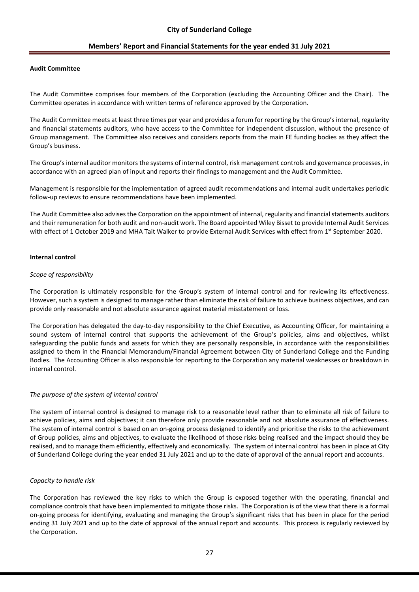#### **Audit Committee**

The Audit Committee comprises four members of the Corporation (excluding the Accounting Officer and the Chair). The Committee operates in accordance with written terms of reference approved by the Corporation.

The Audit Committee meets at least three times per year and provides a forum for reporting by the Group's internal, regularity and financial statements auditors, who have access to the Committee for independent discussion, without the presence of Group management. The Committee also receives and considers reports from the main FE funding bodies as they affect the Group's business.

The Group's internal auditor monitors the systems of internal control, risk management controls and governance processes, in accordance with an agreed plan of input and reports their findings to management and the Audit Committee.

Management is responsible for the implementation of agreed audit recommendations and internal audit undertakes periodic follow-up reviews to ensure recommendations have been implemented.

The Audit Committee also advises the Corporation on the appointment of internal, regularity and financial statements auditors and their remuneration for both audit and non-audit work. The Board appointed Wiley Bisset to provide Internal Audit Services with effect of 1 October 2019 and MHA Tait Walker to provide External Audit Services with effect from 1<sup>st</sup> September 2020.

#### **Internal control**

#### *Scope of responsibility*

The Corporation is ultimately responsible for the Group's system of internal control and for reviewing its effectiveness. However, such a system is designed to manage rather than eliminate the risk of failure to achieve business objectives, and can provide only reasonable and not absolute assurance against material misstatement or loss.

The Corporation has delegated the day-to-day responsibility to the Chief Executive, as Accounting Officer, for maintaining a sound system of internal control that supports the achievement of the Group's policies, aims and objectives, whilst safeguarding the public funds and assets for which they are personally responsible, in accordance with the responsibilities assigned to them in the Financial Memorandum/Financial Agreement between City of Sunderland College and the Funding Bodies. The Accounting Officer is also responsible for reporting to the Corporation any material weaknesses or breakdown in internal control.

#### *The purpose of the system of internal control*

The system of internal control is designed to manage risk to a reasonable level rather than to eliminate all risk of failure to achieve policies, aims and objectives; it can therefore only provide reasonable and not absolute assurance of effectiveness. The system of internal control is based on an on-going process designed to identify and prioritise the risks to the achievement of Group policies, aims and objectives, to evaluate the likelihood of those risks being realised and the impact should they be realised, and to manage them efficiently, effectively and economically. The system of internal control has been in place at City of Sunderland College during the year ended 31 July 2021 and up to the date of approval of the annual report and accounts.

#### *Capacity to handle risk*

The Corporation has reviewed the key risks to which the Group is exposed together with the operating, financial and compliance controls that have been implemented to mitigate those risks. The Corporation is of the view that there is a formal on-going process for identifying, evaluating and managing the Group's significant risks that has been in place for the period ending 31 July 2021 and up to the date of approval of the annual report and accounts. This process is regularly reviewed by the Corporation.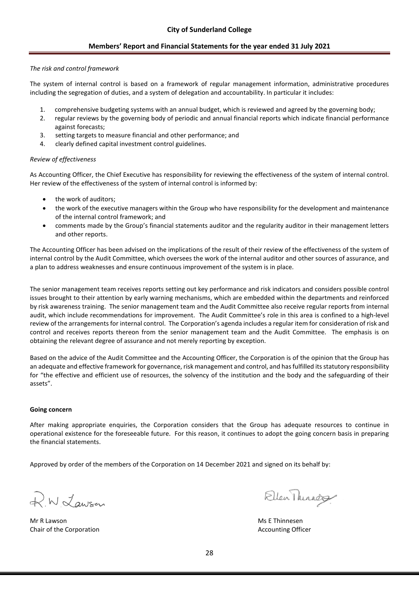### *The risk and control framework*

The system of internal control is based on a framework of regular management information, administrative procedures including the segregation of duties, and a system of delegation and accountability. In particular it includes:

- 1. comprehensive budgeting systems with an annual budget, which is reviewed and agreed by the governing body;
- 2. regular reviews by the governing body of periodic and annual financial reports which indicate financial performance against forecasts;
- 3. setting targets to measure financial and other performance; and
- 4. clearly defined capital investment control guidelines.

### *Review of effectiveness*

As Accounting Officer, the Chief Executive has responsibility for reviewing the effectiveness of the system of internal control. Her review of the effectiveness of the system of internal control is informed by:

- the work of auditors:
- the work of the executive managers within the Group who have responsibility for the development and maintenance of the internal control framework; and
- comments made by the Group's financial statements auditor and the regularity auditor in their management letters and other reports.

The Accounting Officer has been advised on the implications of the result of their review of the effectiveness of the system of internal control by the Audit Committee, which oversees the work of the internal auditor and other sources of assurance, and a plan to address weaknesses and ensure continuous improvement of the system is in place.

The senior management team receives reports setting out key performance and risk indicators and considers possible control issues brought to their attention by early warning mechanisms, which are embedded within the departments and reinforced by risk awareness training. The senior management team and the Audit Committee also receive regular reports from internal audit, which include recommendations for improvement. The Audit Committee's role in this area is confined to a high-level review of the arrangements for internal control. The Corporation's agenda includes a regular item for consideration of risk and control and receives reports thereon from the senior management team and the Audit Committee. The emphasis is on obtaining the relevant degree of assurance and not merely reporting by exception.

Based on the advice of the Audit Committee and the Accounting Officer, the Corporation is of the opinion that the Group has an adequate and effective framework for governance, risk management and control, and has fulfilled its statutory responsibility for "the effective and efficient use of resources, the solvency of the institution and the body and the safeguarding of their assets".

### **Going concern**

After making appropriate enquiries, the Corporation considers that the Group has adequate resources to continue in operational existence for the foreseeable future. For this reason, it continues to adopt the going concern basis in preparing the financial statements.

R.W. Lawson

Mr R Lawson **Mr R Lawson** Ms E Thinnesen Chair of the Corporation **Accounting Officer** Accounting Officer

Ellen Thirady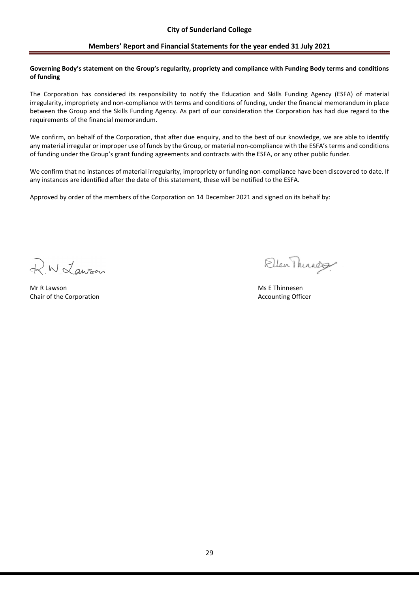#### **Governing Body's statement on the Group's regularity, propriety and compliance with Funding Body terms and conditions of funding**

The Corporation has considered its responsibility to notify the Education and Skills Funding Agency (ESFA) of material irregularity, impropriety and non-compliance with terms and conditions of funding, under the financial memorandum in place between the Group and the Skills Funding Agency. As part of our consideration the Corporation has had due regard to the requirements of the financial memorandum.

We confirm, on behalf of the Corporation, that after due enquiry, and to the best of our knowledge, we are able to identify any material irregular or improper use of funds by the Group, or material non-compliance with the ESFA's terms and conditions of funding under the Group's grant funding agreements and contracts with the ESFA, or any other public funder.

We confirm that no instances of material irregularity, impropriety or funding non-compliance have been discovered to date. If any instances are identified after the date of this statement, these will be notified to the ESFA.

R.W. Lawson

Mr R Lawson Ms E Thinnesen Chair of the Corporation **Accounting Officer** Accounting Officer

Ellen Thirada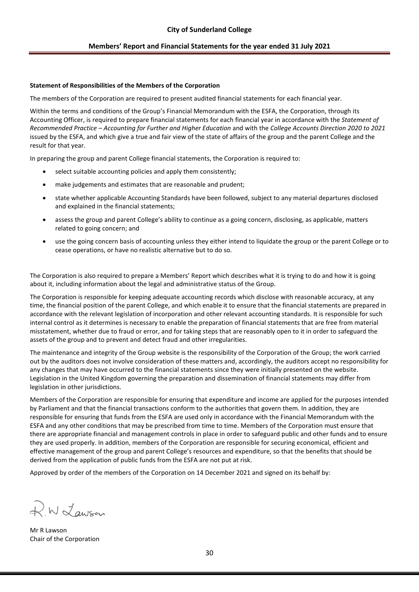### **Statement of Responsibilities of the Members of the Corporation**

The members of the Corporation are required to present audited financial statements for each financial year.

Within the terms and conditions of the Group's Financial Memorandum with the ESFA, the Corporation, through its Accounting Officer, is required to prepare financial statements for each financial year in accordance with the *Statement of Recommended Practice – Accounting for Further and Higher Education* and with the *College Accounts Direction 2020 to 2021* issued by the ESFA, and which give a true and fair view of the state of affairs of the group and the parent College and the result for that year.

In preparing the group and parent College financial statements, the Corporation is required to:

- select suitable accounting policies and apply them consistently;
- make judgements and estimates that are reasonable and prudent;
- state whether applicable Accounting Standards have been followed, subject to any material departures disclosed and explained in the financial statements;
- assess the group and parent College's ability to continue as a going concern, disclosing, as applicable, matters related to going concern; and
- use the going concern basis of accounting unless they either intend to liquidate the group or the parent College or to cease operations, or have no realistic alternative but to do so.

The Corporation is also required to prepare a Members' Report which describes what it is trying to do and how it is going about it, including information about the legal and administrative status of the Group.

The Corporation is responsible for keeping adequate accounting records which disclose with reasonable accuracy, at any time, the financial position of the parent College, and which enable it to ensure that the financial statements are prepared in accordance with the relevant legislation of incorporation and other relevant accounting standards. It is responsible for such internal control as it determines is necessary to enable the preparation of financial statements that are free from material misstatement, whether due to fraud or error, and for taking steps that are reasonably open to it in order to safeguard the assets of the group and to prevent and detect fraud and other irregularities.

The maintenance and integrity of the Group website is the responsibility of the Corporation of the Group; the work carried out by the auditors does not involve consideration of these matters and, accordingly, the auditors accept no responsibility for any changes that may have occurred to the financial statements since they were initially presented on the website. Legislation in the United Kingdom governing the preparation and dissemination of financial statements may differ from legislation in other jurisdictions.

Members of the Corporation are responsible for ensuring that expenditure and income are applied for the purposes intended by Parliament and that the financial transactions conform to the authorities that govern them. In addition, they are responsible for ensuring that funds from the ESFA are used only in accordance with the Financial Memorandum with the ESFA and any other conditions that may be prescribed from time to time. Members of the Corporation must ensure that there are appropriate financial and management controls in place in order to safeguard public and other funds and to ensure they are used properly. In addition, members of the Corporation are responsible for securing economical, efficient and effective management of the group and parent College's resources and expenditure, so that the benefits that should be derived from the application of public funds from the ESFA are not put at risk.

R.W. Lawson

Mr R Lawson Chair of the Corporation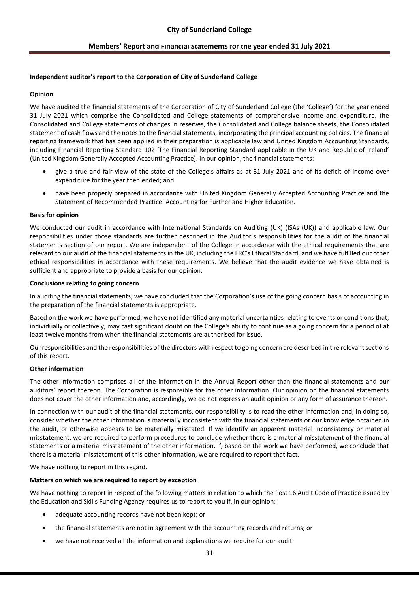### **Independent auditor's report to the Corporation of City of Sunderland College**

### **Opinion**

We have audited the financial statements of the Corporation of City of Sunderland College (the 'College') for the year ended 31 July 2021 which comprise the Consolidated and College statements of comprehensive income and expenditure, the Consolidated and College statements of changes in reserves, the Consolidated and College balance sheets, the Consolidated statement of cash flows and the notes to the financial statements, incorporating the principal accounting policies. The financial reporting framework that has been applied in their preparation is applicable law and United Kingdom Accounting Standards, including Financial Reporting Standard 102 'The Financial Reporting Standard applicable in the UK and Republic of Ireland' (United Kingdom Generally Accepted Accounting Practice). In our opinion, the financial statements:

- give a true and fair view of the state of the College's affairs as at 31 July 2021 and of its deficit of income over expenditure for the year then ended; and
- have been properly prepared in accordance with United Kingdom Generally Accepted Accounting Practice and the Statement of Recommended Practice: Accounting for Further and Higher Education.

### **Basis for opinion**

We conducted our audit in accordance with International Standards on Auditing (UK) (ISAs (UK)) and applicable law. Our responsibilities under those standards are further described in the Auditor's responsibilities for the audit of the financial statements section of our report. We are independent of the College in accordance with the ethical requirements that are relevant to our audit of the financial statements in the UK, including the FRC's Ethical Standard, and we have fulfilled our other ethical responsibilities in accordance with these requirements. We believe that the audit evidence we have obtained is sufficient and appropriate to provide a basis for our opinion.

#### **Conclusions relating to going concern**

In auditing the financial statements, we have concluded that the Corporation's use of the going concern basis of accounting in the preparation of the financial statements is appropriate.

Based on the work we have performed, we have not identified any material uncertainties relating to events or conditions that, individually or collectively, may cast significant doubt on the College's ability to continue as a going concern for a period of at least twelve months from when the financial statements are authorised for issue.

Our responsibilities and the responsibilities of the directors with respect to going concern are described in the relevant sections of this report.

### **Other information**

The other information comprises all of the information in the Annual Report other than the financial statements and our auditors' report thereon. The Corporation is responsible for the other information. Our opinion on the financial statements does not cover the other information and, accordingly, we do not express an audit opinion or any form of assurance thereon.

In connection with our audit of the financial statements, our responsibility is to read the other information and, in doing so, consider whether the other information is materially inconsistent with the financial statements or our knowledge obtained in the audit, or otherwise appears to be materially misstated. If we identify an apparent material inconsistency or material misstatement, we are required to perform procedures to conclude whether there is a material misstatement of the financial statements or a material misstatement of the other information. If, based on the work we have performed, we conclude that there is a material misstatement of this other information, we are required to report that fact.

We have nothing to report in this regard.

### **Matters on which we are required to report by exception**

We have nothing to report in respect of the following matters in relation to which the Post 16 Audit Code of Practice issued by the Education and Skills Funding Agency requires us to report to you if, in our opinion:

- adequate accounting records have not been kept; or
- the financial statements are not in agreement with the accounting records and returns; or
- we have not received all the information and explanations we require for our audit.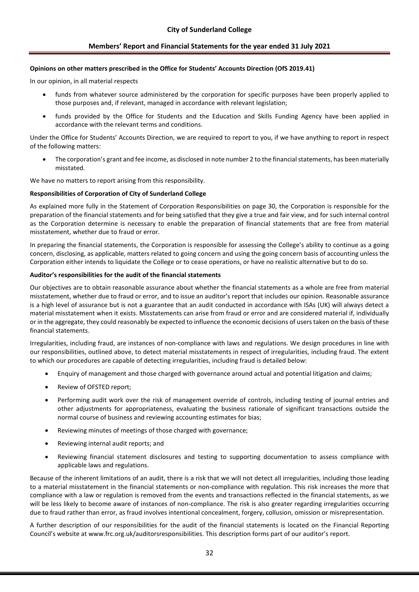#### **Opinions on other matters prescribed in the Office for Students' Accounts Direction (OfS 2019.41)**

In our opinion, in all material respects

- funds from whatever source administered by the corporation for specific purposes have been properly applied to those purposes and, if relevant, managed in accordance with relevant legislation;
- funds provided by the Office for Students and the Education and Skills Funding Agency have been applied in accordance with the relevant terms and conditions.

Under the Office for Students' Accounts Direction, we are required to report to you, if we have anything to report in respect of the following matters:

• The corporation's grant and fee income, as disclosed in note number 2 to the financial statements, has been materially misstated.

We have no matters to report arising from this responsibility.

#### **Responsibilities of Corporation of City of Sunderland College**

As explained more fully in the Statement of Corporation Responsibilities on page 30, the Corporation is responsible for the preparation of the financial statements and for being satisfied that they give a true and fair view, and for such internal control as the Corporation determine is necessary to enable the preparation of financial statements that are free from material misstatement, whether due to fraud or error.

In preparing the financial statements, the Corporation is responsible for assessing the College's ability to continue as a going concern, disclosing, as applicable, matters related to going concern and using the going concern basis of accounting unless the Corporation either intends to liquidate the College or to cease operations, or have no realistic alternative but to do so.

### **Auditor's responsibilities for the audit of the financial statements**

Our objectives are to obtain reasonable assurance about whether the financial statements as a whole are free from material misstatement, whether due to fraud or error, and to issue an auditor's report that includes our opinion. Reasonable assurance is a high level of assurance but is not a guarantee that an audit conducted in accordance with ISAs (UK) will always detect a material misstatement when it exists. Misstatements can arise from fraud or error and are considered material if, individually or in the aggregate, they could reasonably be expected to influence the economic decisions of users taken on the basis of these financial statements.

Irregularities, including fraud, are instances of non-compliance with laws and regulations. We design procedures in line with our responsibilities, outlined above, to detect material misstatements in respect of irregularities, including fraud. The extent to which our procedures are capable of detecting irregularities, including fraud is detailed below:

- Enquiry of management and those charged with governance around actual and potential litigation and claims;
- Review of OFSTED report;
- Performing audit work over the risk of management override of controls, including testing of journal entries and other adjustments for appropriateness, evaluating the business rationale of significant transactions outside the normal course of business and reviewing accounting estimates for bias;
- Reviewing minutes of meetings of those charged with governance;
- Reviewing internal audit reports; and
- Reviewing financial statement disclosures and testing to supporting documentation to assess compliance with applicable laws and regulations.

Because of the inherent limitations of an audit, there is a risk that we will not detect all irregularities, including those leading to a material misstatement in the financial statements or non-compliance with regulation. This risk increases the more that compliance with a law or regulation is removed from the events and transactions reflected in the financial statements, as we will be less likely to become aware of instances of non-compliance. The risk is also greater regarding irregularities occurring due to fraud rather than error, as fraud involves intentional concealment, forgery, collusion, omission or misrepresentation.

A further description of our responsibilities for the audit of the financial statements is located on the Financial Reporting Council's website at www.frc.org.uk/auditorsresponsibilities. This description forms part of our auditor's report.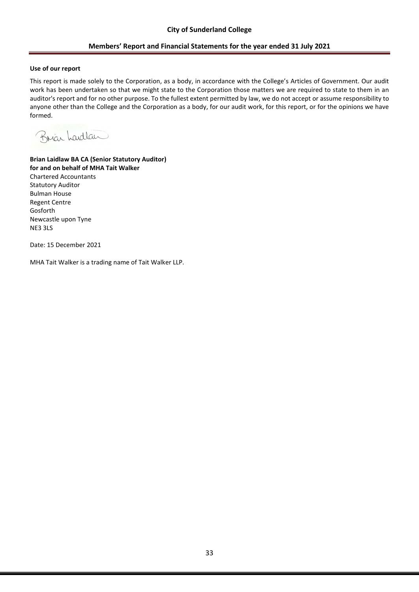### **Use of our report**

This report is made solely to the Corporation, as a body, in accordance with the College's Articles of Government. Our audit work has been undertaken so that we might state to the Corporation those matters we are required to state to them in an auditor's report and for no other purpose. To the fullest extent permitted by law, we do not accept or assume responsibility to anyone other than the College and the Corporation as a body, for our audit work, for this report, or for the opinions we have formed.

Brian Landlan

**Brian Laidlaw BA CA (Senior Statutory Auditor) for and on behalf of MHA Tait Walker** Chartered Accountants Statutory Auditor Bulman House Regent Centre Gosforth Newcastle upon Tyne NE3 3LS

Date: 15 December 2021

MHA Tait Walker is a trading name of Tait Walker LLP.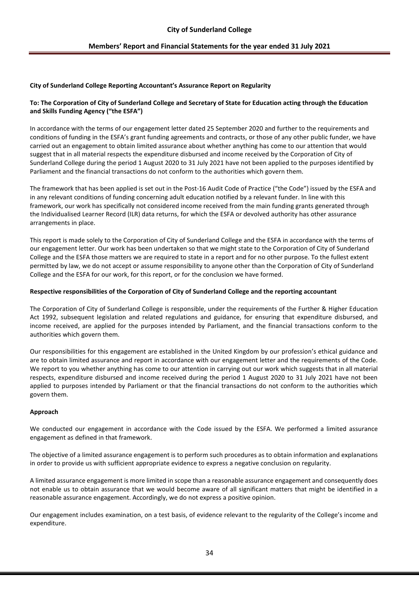### **City of Sunderland College Reporting Accountant's Assurance Report on Regularity**

### **To: The Corporation of City of Sunderland College and Secretary of State for Education acting through the Education and Skills Funding Agency ("the ESFA")**

In accordance with the terms of our engagement letter dated 25 September 2020 and further to the requirements and conditions of funding in the ESFA's grant funding agreements and contracts, or those of any other public funder, we have carried out an engagement to obtain limited assurance about whether anything has come to our attention that would suggest that in all material respects the expenditure disbursed and income received by the Corporation of City of Sunderland College during the period 1 August 2020 to 31 July 2021 have not been applied to the purposes identified by Parliament and the financial transactions do not conform to the authorities which govern them.

The framework that has been applied is set out in the Post-16 Audit Code of Practice ("the Code") issued by the ESFA and in any relevant conditions of funding concerning adult education notified by a relevant funder. In line with this framework, our work has specifically not considered income received from the main funding grants generated through the Individualised Learner Record (ILR) data returns, for which the ESFA or devolved authority has other assurance arrangements in place.

This report is made solely to the Corporation of City of Sunderland College and the ESFA in accordance with the terms of our engagement letter. Our work has been undertaken so that we might state to the Corporation of City of Sunderland College and the ESFA those matters we are required to state in a report and for no other purpose. To the fullest extent permitted by law, we do not accept or assume responsibility to anyone other than the Corporation of City of Sunderland College and the ESFA for our work, for this report, or for the conclusion we have formed.

### **Respective responsibilities of the Corporation of City of Sunderland College and the reporting accountant**

The Corporation of City of Sunderland College is responsible, under the requirements of the Further & Higher Education Act 1992, subsequent legislation and related regulations and guidance, for ensuring that expenditure disbursed, and income received, are applied for the purposes intended by Parliament, and the financial transactions conform to the authorities which govern them.

Our responsibilities for this engagement are established in the United Kingdom by our profession's ethical guidance and are to obtain limited assurance and report in accordance with our engagement letter and the requirements of the Code. We report to you whether anything has come to our attention in carrying out our work which suggests that in all material respects, expenditure disbursed and income received during the period 1 August 2020 to 31 July 2021 have not been applied to purposes intended by Parliament or that the financial transactions do not conform to the authorities which govern them.

### **Approach**

We conducted our engagement in accordance with the Code issued by the ESFA. We performed a limited assurance engagement as defined in that framework.

The objective of a limited assurance engagement is to perform such procedures as to obtain information and explanations in order to provide us with sufficient appropriate evidence to express a negative conclusion on regularity.

A limited assurance engagement is more limited in scope than a reasonable assurance engagement and consequently does not enable us to obtain assurance that we would become aware of all significant matters that might be identified in a reasonable assurance engagement. Accordingly, we do not express a positive opinion.

Our engagement includes examination, on a test basis, of evidence relevant to the regularity of the College's income and expenditure.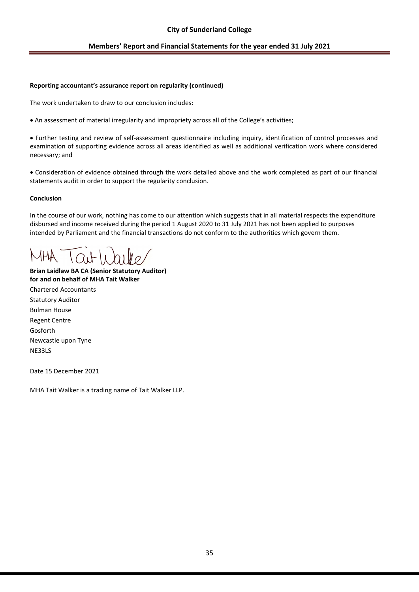### **City of Sunderland College**

### **Members' Report and Financial Statements for the year ended 31 July 2021**

#### **Reporting accountant's assurance report on regularity (continued)**

The work undertaken to draw to our conclusion includes:

• An assessment of material irregularity and impropriety across all of the College's activities;

• Further testing and review of self-assessment questionnaire including inquiry, identification of control processes and examination of supporting evidence across all areas identified as well as additional verification work where considered necessary; and

• Consideration of evidence obtained through the work detailed above and the work completed as part of our financial statements audit in order to support the regularity conclusion.

### **Conclusion**

In the course of our work, nothing has come to our attention which suggests that in all material respects the expenditure disbursed and income received during the period 1 August 2020 to 31 July 2021 has not been applied to purposes intended by Parliament and the financial transactions do not conform to the authorities which govern them.

**Brian Laidlaw BA CA (Senior Statutory Auditor) for and on behalf of MHA Tait Walker** Chartered Accountants

Statutory Auditor Bulman House Regent Centre Gosforth Newcastle upon Tyne NE33LS

Date 15 December 2021

MHA Tait Walker is a trading name of Tait Walker LLP.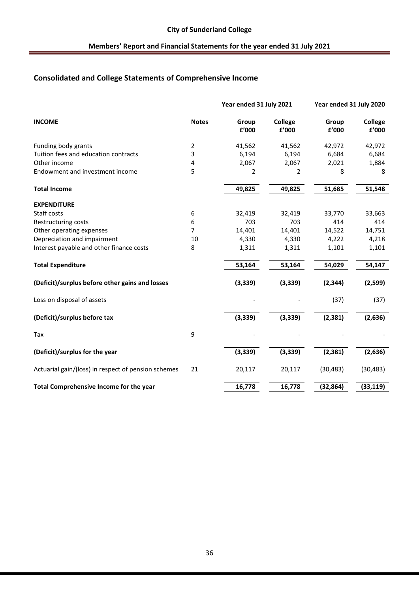# **Consolidated and College Statements of Comprehensive Income**

|                                                     |              | Year ended 31 July 2021 |                  | Year ended 31 July 2020 |                  |
|-----------------------------------------------------|--------------|-------------------------|------------------|-------------------------|------------------|
| <b>INCOME</b>                                       | <b>Notes</b> | Group<br>£'000          | College<br>£'000 | Group<br>£'000          | College<br>£'000 |
| Funding body grants                                 | 2            | 41,562                  | 41,562           | 42,972                  | 42,972           |
| Tuition fees and education contracts                | 3            | 6,194                   | 6,194            | 6,684                   | 6,684            |
| Other income                                        | 4            | 2,067                   | 2,067            | 2,021                   | 1,884            |
| Endowment and investment income                     | 5            | 2                       | $\overline{2}$   | 8                       | 8                |
| <b>Total Income</b>                                 |              | 49,825                  | 49,825           | 51,685                  | 51,548           |
| <b>EXPENDITURE</b>                                  |              |                         |                  |                         |                  |
| Staff costs                                         | 6            | 32,419                  | 32,419           | 33,770                  | 33,663           |
| Restructuring costs                                 | 6            | 703                     | 703              | 414                     | 414              |
| Other operating expenses                            | 7            | 14,401                  | 14,401           | 14,522                  | 14,751           |
| Depreciation and impairment                         | 10           | 4,330                   | 4,330            | 4,222                   | 4,218            |
| Interest payable and other finance costs            | 8            | 1,311                   | 1,311            | 1,101                   | 1,101            |
| <b>Total Expenditure</b>                            |              | 53,164                  | 53,164           | 54,029                  | 54,147           |
| (Deficit)/surplus before other gains and losses     |              | (3, 339)                | (3, 339)         | (2, 344)                | (2,599)          |
| Loss on disposal of assets                          |              |                         |                  | (37)                    | (37)             |
| (Deficit)/surplus before tax                        |              | (3, 339)                | (3, 339)         | (2, 381)                | (2,636)          |
| Tax                                                 | 9            |                         |                  |                         |                  |
| (Deficit)/surplus for the year                      |              | (3, 339)                | (3, 339)         | (2, 381)                | (2,636)          |
| Actuarial gain/(loss) in respect of pension schemes | 21           | 20,117                  | 20,117           | (30, 483)               | (30, 483)        |
| Total Comprehensive Income for the year             |              | 16,778                  | 16,778           | (32, 864)               | (33, 119)        |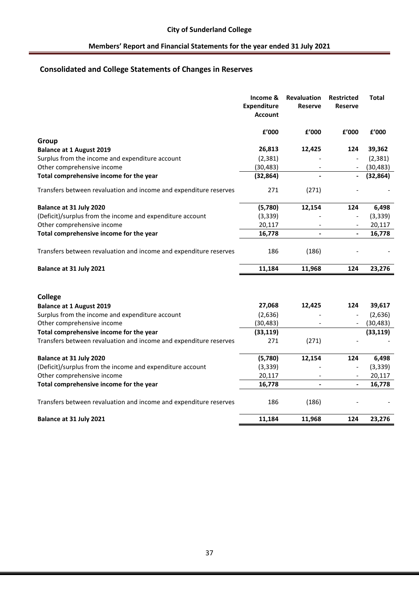# **Consolidated and College Statements of Changes in Reserves**

|                                                                   | Income &<br><b>Expenditure</b><br><b>Account</b> | Revaluation<br><b>Reserve</b> | <b>Restricted</b><br><b>Reserve</b> | <b>Total</b> |
|-------------------------------------------------------------------|--------------------------------------------------|-------------------------------|-------------------------------------|--------------|
|                                                                   | £'000                                            | £'000                         | £'000                               | £'000        |
| Group                                                             |                                                  |                               |                                     |              |
| <b>Balance at 1 August 2019</b>                                   | 26,813                                           | 12,425                        | 124                                 | 39,362       |
| Surplus from the income and expenditure account                   | (2, 381)                                         |                               |                                     | (2, 381)     |
| Other comprehensive income                                        | (30, 483)                                        | $\overline{\phantom{a}}$      |                                     | (30, 483)    |
| Total comprehensive income for the year                           | (32, 864)                                        |                               |                                     | (32, 864)    |
| Transfers between revaluation and income and expenditure reserves | 271                                              | (271)                         |                                     |              |
| Balance at 31 July 2020                                           | (5,780)                                          | 12,154                        | 124                                 | 6,498        |
| (Deficit)/surplus from the income and expenditure account         | (3, 339)                                         |                               | $\overline{\phantom{a}}$            | (3, 339)     |
| Other comprehensive income                                        | 20,117                                           | $\overline{\phantom{a}}$      | $\overline{\phantom{a}}$            | 20,117       |
| Total comprehensive income for the year                           | 16,778                                           | $\blacksquare$                | $\overline{\phantom{a}}$            | 16,778       |
| Transfers between revaluation and income and expenditure reserves | 186                                              | (186)                         |                                     |              |
| Balance at 31 July 2021                                           | 11,184                                           | 11,968                        | 124                                 | 23,276       |
| College                                                           |                                                  |                               |                                     |              |
| <b>Balance at 1 August 2019</b>                                   | 27,068                                           | 12,425                        | 124                                 | 39,617       |
| Surplus from the income and expenditure account                   | (2,636)                                          |                               |                                     | (2,636)      |
| Other comprehensive income                                        | (30, 483)                                        |                               |                                     | (30, 483)    |
| Total comprehensive income for the year                           | (33, 119)                                        |                               |                                     | (33, 119)    |
| Transfers between revaluation and income and expenditure reserves | 271                                              | (271)                         |                                     |              |
| Balance at 31 July 2020                                           | (5,780)                                          | 12,154                        | 124                                 | 6,498        |
| (Deficit)/surplus from the income and expenditure account         | (3, 339)                                         |                               | $\overline{\phantom{a}}$            | (3, 339)     |
| Other comprehensive income                                        | 20,117                                           | $\overline{\phantom{a}}$      | $\overline{\phantom{a}}$            | 20,117       |
| Total comprehensive income for the year                           | 16,778                                           | $\blacksquare$                | $\overline{\phantom{a}}$            | 16,778       |
| Transfers between revaluation and income and expenditure reserves | 186                                              | (186)                         |                                     |              |
| Balance at 31 July 2021                                           | 11,184                                           | 11,968                        | 124                                 | 23,276       |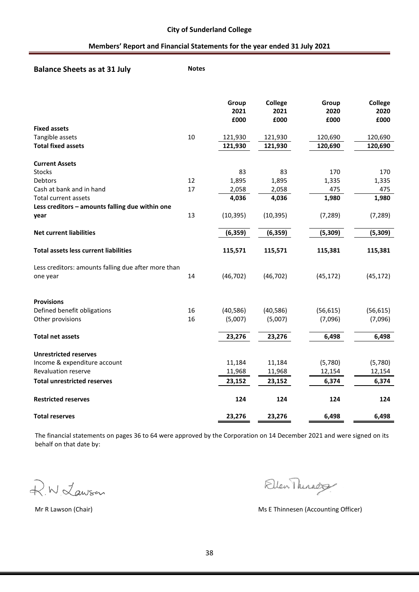**Balance Sheets as at 31 July Motes** 

|                                                     |    | Group<br>2021<br>£000 | <b>College</b><br>2021<br>£000 | Group<br>2020<br>£000 | College<br>2020<br>£000 |
|-----------------------------------------------------|----|-----------------------|--------------------------------|-----------------------|-------------------------|
| <b>Fixed assets</b>                                 |    |                       |                                |                       |                         |
| Tangible assets                                     | 10 | 121,930               | 121,930                        | 120,690               | 120,690                 |
| <b>Total fixed assets</b>                           |    | 121,930               | 121,930                        | 120,690               | 120,690                 |
| <b>Current Assets</b>                               |    |                       |                                |                       |                         |
| Stocks                                              |    | 83                    | 83                             | 170                   | 170                     |
| Debtors                                             | 12 | 1,895                 | 1,895                          | 1,335                 | 1,335                   |
| Cash at bank and in hand                            | 17 | 2,058                 | 2,058                          | 475                   | 475                     |
| <b>Total current assets</b>                         |    | 4,036                 | 4,036                          | 1,980                 | 1,980                   |
| Less creditors - amounts falling due within one     |    |                       |                                |                       |                         |
| year                                                | 13 | (10, 395)             | (10, 395)                      | (7, 289)              | (7, 289)                |
| <b>Net current liabilities</b>                      |    | (6, 359)              | (6, 359)                       | (5, 309)              | (5, 309)                |
| <b>Total assets less current liabilities</b>        |    | 115,571               | 115,571                        | 115,381               | 115,381                 |
| Less creditors: amounts falling due after more than |    |                       |                                |                       |                         |
| one year                                            | 14 | (46, 702)             | (46, 702)                      | (45, 172)             | (45, 172)               |
| <b>Provisions</b>                                   |    |                       |                                |                       |                         |
| Defined benefit obligations                         | 16 | (40, 586)             | (40, 586)                      | (56, 615)             | (56, 615)               |
| Other provisions                                    | 16 | (5,007)               | (5,007)                        | (7,096)               | (7,096)                 |
| <b>Total net assets</b>                             |    | 23,276                | 23,276                         | 6,498                 | 6,498                   |
| <b>Unrestricted reserves</b>                        |    |                       |                                |                       |                         |
| Income & expenditure account                        |    | 11,184                | 11,184                         | (5,780)               | (5,780)                 |
| <b>Revaluation reserve</b>                          |    | 11,968                | 11,968                         | 12,154                | 12,154                  |
| <b>Total unrestricted reserves</b>                  |    | 23,152                | 23,152                         | 6,374                 | 6,374                   |
| <b>Restricted reserves</b>                          |    | 124                   | 124                            | 124                   | 124                     |
| <b>Total reserves</b>                               |    | 23,276                | 23,276                         | 6,498                 | 6,498                   |

The financial statements on pages 36 to 64 were approved by the Corporation on 14 December 2021 and were signed on its behalf on that date by:

R.W. Lawson

Ellen Thirady

Mr R Lawson (Chair) Mr R Lawson (Chair) Ms E Thinnesen (Accounting Officer)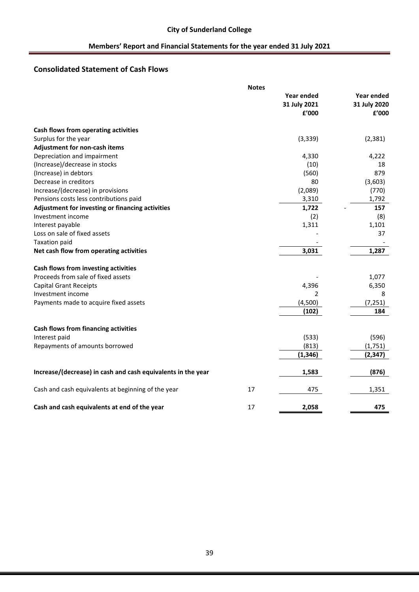# **Consolidated Statement of Cash Flows**

|                                                              | <b>Notes</b> |                |                   |
|--------------------------------------------------------------|--------------|----------------|-------------------|
|                                                              |              | Year ended     | <b>Year ended</b> |
|                                                              |              | 31 July 2021   | 31 July 2020      |
|                                                              |              | £'000          | f'000             |
| Cash flows from operating activities                         |              |                |                   |
| Surplus for the year                                         |              | (3, 339)       | (2, 381)          |
| Adjustment for non-cash items                                |              |                |                   |
| Depreciation and impairment                                  |              | 4,330          | 4,222             |
| (Increase)/decrease in stocks                                |              | (10)           | 18                |
| (Increase) in debtors                                        |              | (560)          | 879               |
| Decrease in creditors                                        |              | 80             | (3,603)           |
| Increase/(decrease) in provisions                            |              | (2,089)        | (770)             |
| Pensions costs less contributions paid                       |              | 3,310          | 1,792             |
| Adjustment for investing or financing activities             |              | 1,722          | 157               |
| Investment income                                            |              | (2)            | (8)               |
| Interest payable                                             |              | 1,311          | 1,101             |
| Loss on sale of fixed assets                                 |              |                | 37                |
| <b>Taxation paid</b>                                         |              |                |                   |
| Net cash flow from operating activities                      |              | 3,031          | 1,287             |
| Cash flows from investing activities                         |              |                |                   |
| Proceeds from sale of fixed assets                           |              |                | 1,077             |
| <b>Capital Grant Receipts</b>                                |              | 4,396          | 6,350             |
| Investment income                                            |              | $\overline{2}$ | 8                 |
| Payments made to acquire fixed assets                        |              | (4,500)        | (7, 251)          |
|                                                              |              | (102)          | 184               |
| Cash flows from financing activities                         |              |                |                   |
| Interest paid                                                |              | (533)          | (596)             |
| Repayments of amounts borrowed                               |              | (813)          | (1,751)           |
|                                                              |              | (1, 346)       | (2, 347)          |
| Increase/(decrease) in cash and cash equivalents in the year |              | 1,583          | (876)             |
| Cash and cash equivalents at beginning of the year           | 17           | 475            | 1,351             |
| Cash and cash equivalents at end of the year                 | 17           | 2,058          | 475               |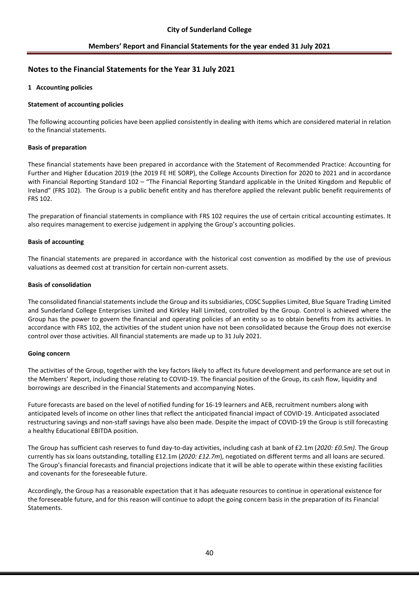## **Notes to the Financial Statements for the Year 31 July 2021**

### **1 Accounting policies**

### **Statement of accounting policies**

The following accounting policies have been applied consistently in dealing with items which are considered material in relation to the financial statements.

### **Basis of preparation**

These financial statements have been prepared in accordance with the Statement of Recommended Practice: Accounting for Further and Higher Education 2019 (the 2019 FE HE SORP), the College Accounts Direction for 2020 to 2021 and in accordance with Financial Reporting Standard 102 – "The Financial Reporting Standard applicable in the United Kingdom and Republic of Ireland" (FRS 102). The Group is a public benefit entity and has therefore applied the relevant public benefit requirements of FRS 102.

The preparation of financial statements in compliance with FRS 102 requires the use of certain critical accounting estimates. It also requires management to exercise judgement in applying the Group's accounting policies.

### **Basis of accounting**

The financial statements are prepared in accordance with the historical cost convention as modified by the use of previous valuations as deemed cost at transition for certain non-current assets.

### **Basis of consolidation**

The consolidated financial statements include the Group and its subsidiaries, COSC Supplies Limited, Blue Square Trading Limited and Sunderland College Enterprises Limited and Kirkley Hall Limited, controlled by the Group. Control is achieved where the Group has the power to govern the financial and operating policies of an entity so as to obtain benefits from its activities. In accordance with FRS 102, the activities of the student union have not been consolidated because the Group does not exercise control over those activities. All financial statements are made up to 31 July 2021.

### **Going concern**

The activities of the Group, together with the key factors likely to affect its future development and performance are set out in the Members' Report, including those relating to COVID-19. The financial position of the Group, its cash flow, liquidity and borrowings are described in the Financial Statements and accompanying Notes.

Future forecasts are based on the level of notified funding for 16-19 learners and AEB, recruitment numbers along with anticipated levels of income on other lines that reflect the anticipated financial impact of COVID-19. Anticipated associated restructuring savings and non-staff savings have also been made. Despite the impact of COVID-19 the Group is still forecasting a healthy Educational EBITDA position.

The Group has sufficient cash reserves to fund day-to-day activities, including cash at bank of £2.1m (*2020: £0.5m)*. The Group currently has six loans outstanding, totalling £12.1m (*2020: £12.7m*), negotiated on different terms and all loans are secured. The Group's financial forecasts and financial projections indicate that it will be able to operate within these existing facilities and covenants for the foreseeable future.

Accordingly, the Group has a reasonable expectation that it has adequate resources to continue in operational existence for the foreseeable future, and for this reason will continue to adopt the going concern basis in the preparation of its Financial Statements.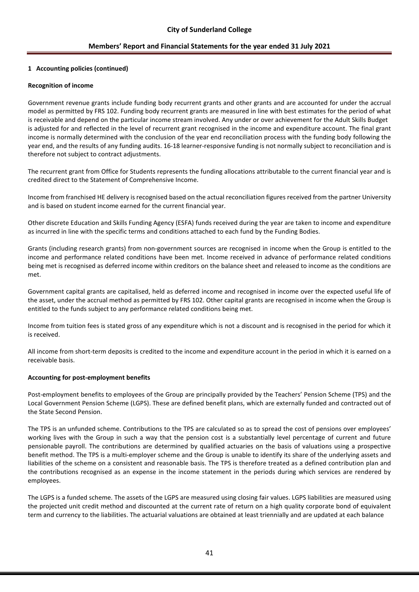### **1 Accounting policies (continued)**

### **Recognition of income**

Government revenue grants include funding body recurrent grants and other grants and are accounted for under the accrual model as permitted by FRS 102. Funding body recurrent grants are measured in line with best estimates for the period of what is receivable and depend on the particular income stream involved. Any under or over achievement for the Adult Skills Budget is adjusted for and reflected in the level of recurrent grant recognised in the income and expenditure account. The final grant income is normally determined with the conclusion of the year end reconciliation process with the funding body following the year end, and the results of any funding audits. 16-18 learner-responsive funding is not normally subject to reconciliation and is therefore not subject to contract adjustments.

The recurrent grant from Office for Students represents the funding allocations attributable to the current financial year and is credited direct to the Statement of Comprehensive Income.

Income from franchised HE delivery is recognised based on the actual reconciliation figures received from the partner University and is based on student income earned for the current financial year.

Other discrete Education and Skills Funding Agency (ESFA) funds received during the year are taken to income and expenditure as incurred in line with the specific terms and conditions attached to each fund by the Funding Bodies.

Grants (including research grants) from non-government sources are recognised in income when the Group is entitled to the income and performance related conditions have been met. Income received in advance of performance related conditions being met is recognised as deferred income within creditors on the balance sheet and released to income as the conditions are met.

Government capital grants are capitalised, held as deferred income and recognised in income over the expected useful life of the asset, under the accrual method as permitted by FRS 102. Other capital grants are recognised in income when the Group is entitled to the funds subject to any performance related conditions being met.

Income from tuition fees is stated gross of any expenditure which is not a discount and is recognised in the period for which it is received.

All income from short-term deposits is credited to the income and expenditure account in the period in which it is earned on a receivable basis.

### **Accounting for post-employment benefits**

Post-employment benefits to employees of the Group are principally provided by the Teachers' Pension Scheme (TPS) and the Local Government Pension Scheme (LGPS). These are defined benefit plans, which are externally funded and contracted out of the State Second Pension.

The TPS is an unfunded scheme. Contributions to the TPS are calculated so as to spread the cost of pensions over employees' working lives with the Group in such a way that the pension cost is a substantially level percentage of current and future pensionable payroll. The contributions are determined by qualified actuaries on the basis of valuations using a prospective benefit method. The TPS is a multi-employer scheme and the Group is unable to identify its share of the underlying assets and liabilities of the scheme on a consistent and reasonable basis. The TPS is therefore treated as a defined contribution plan and the contributions recognised as an expense in the income statement in the periods during which services are rendered by employees.

The LGPS is a funded scheme. The assets of the LGPS are measured using closing fair values. LGPS liabilities are measured using the projected unit credit method and discounted at the current rate of return on a high quality corporate bond of equivalent term and currency to the liabilities. The actuarial valuations are obtained at least triennially and are updated at each balance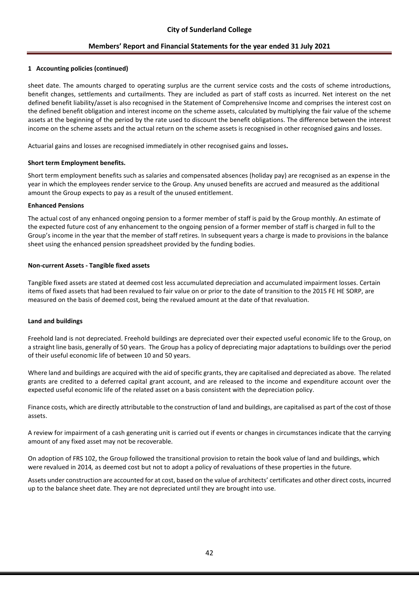### **1 Accounting policies (continued)**

sheet date. The amounts charged to operating surplus are the current service costs and the costs of scheme introductions, benefit changes, settlements and curtailments. They are included as part of staff costs as incurred. Net interest on the net defined benefit liability/asset is also recognised in the Statement of Comprehensive Income and comprises the interest cost on the defined benefit obligation and interest income on the scheme assets, calculated by multiplying the fair value of the scheme assets at the beginning of the period by the rate used to discount the benefit obligations. The difference between the interest income on the scheme assets and the actual return on the scheme assets is recognised in other recognised gains and losses.

Actuarial gains and losses are recognised immediately in other recognised gains and losses**.**

### **Short term Employment benefits.**

Short term employment benefits such as salaries and compensated absences (holiday pay) are recognised as an expense in the year in which the employees render service to the Group. Any unused benefits are accrued and measured as the additional amount the Group expects to pay as a result of the unused entitlement.

### **Enhanced Pensions**

The actual cost of any enhanced ongoing pension to a former member of staff is paid by the Group monthly. An estimate of the expected future cost of any enhancement to the ongoing pension of a former member of staff is charged in full to the Group's income in the year that the member of staff retires. In subsequent years a charge is made to provisions in the balance sheet using the enhanced pension spreadsheet provided by the funding bodies.

### **Non-current Assets - Tangible fixed assets**

Tangible fixed assets are stated at deemed cost less accumulated depreciation and accumulated impairment losses. Certain items of fixed assets that had been revalued to fair value on or prior to the date of transition to the 2015 FE HE SORP, are measured on the basis of deemed cost, being the revalued amount at the date of that revaluation.

### **Land and buildings**

Freehold land is not depreciated. Freehold buildings are depreciated over their expected useful economic life to the Group, on a straight line basis, generally of 50 years. The Group has a policy of depreciating major adaptations to buildings over the period of their useful economic life of between 10 and 50 years.

Where land and buildings are acquired with the aid of specific grants, they are capitalised and depreciated as above. The related grants are credited to a deferred capital grant account, and are released to the income and expenditure account over the expected useful economic life of the related asset on a basis consistent with the depreciation policy.

Finance costs, which are directly attributable to the construction of land and buildings, are capitalised as part of the cost of those assets.

A review for impairment of a cash generating unit is carried out if events or changes in circumstances indicate that the carrying amount of any fixed asset may not be recoverable.

On adoption of FRS 102, the Group followed the transitional provision to retain the book value of land and buildings, which were revalued in 2014*,* as deemed cost but not to adopt a policy of revaluations of these properties in the future.

Assets under construction are accounted for at cost, based on the value of architects' certificates and other direct costs, incurred up to the balance sheet date. They are not depreciated until they are brought into use.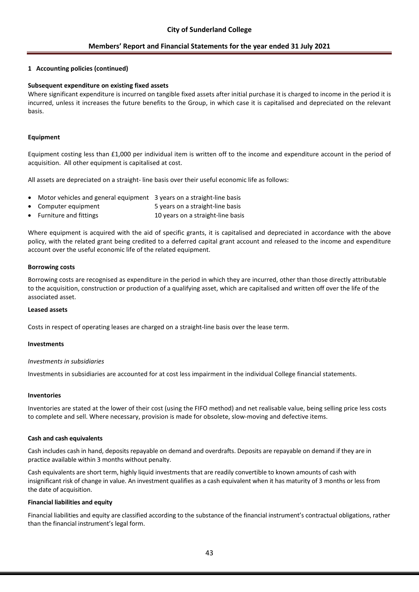### **1 Accounting policies (continued)**

### **Subsequent expenditure on existing fixed assets**

Where significant expenditure is incurred on tangible fixed assets after initial purchase it is charged to income in the period it is incurred, unless it increases the future benefits to the Group, in which case it is capitalised and depreciated on the relevant basis.

### **Equipment**

Equipment costing less than £1,000 per individual item is written off to the income and expenditure account in the period of acquisition. All other equipment is capitalised at cost.

All assets are depreciated on a straight- line basis over their useful economic life as follows:

- Motor vehicles and general equipment 3 years on a straight-line basis
- Computer equipment 5 years on a straight-line basis
- Furniture and fittings 10 years on a straight-line basis

Where equipment is acquired with the aid of specific grants, it is capitalised and depreciated in accordance with the above policy, with the related grant being credited to a deferred capital grant account and released to the income and expenditure account over the useful economic life of the related equipment.

### **Borrowing costs**

Borrowing costs are recognised as expenditure in the period in which they are incurred, other than those directly attributable to the acquisition, construction or production of a qualifying asset, which are capitalised and written off over the life of the associated asset.

### **Leased assets**

Costs in respect of operating leases are charged on a straight-line basis over the lease term.

### **Investments**

### *Investments in subsidiaries*

Investments in subsidiaries are accounted for at cost less impairment in the individual College financial statements.

#### **Inventories**

Inventories are stated at the lower of their cost (using the FIFO method) and net realisable value, being selling price less costs to complete and sell. Where necessary, provision is made for obsolete, slow-moving and defective items.

### **Cash and cash equivalents**

Cash includes cash in hand, deposits repayable on demand and overdrafts. Deposits are repayable on demand if they are in practice available within 3 months without penalty.

Cash equivalents are short term, highly liquid investments that are readily convertible to known amounts of cash with insignificant risk of change in value. An investment qualifies as a cash equivalent when it has maturity of 3 months or less from the date of acquisition.

### **Financial liabilities and equity**

Financial liabilities and equity are classified according to the substance of the financial instrument's contractual obligations, rather than the financial instrument's legal form.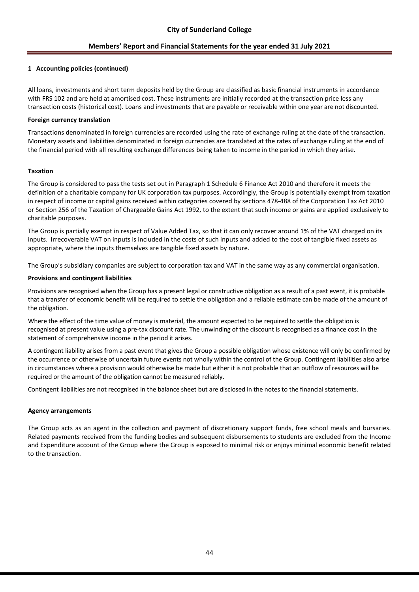### **1 Accounting policies (continued)**

All loans, investments and short term deposits held by the Group are classified as basic financial instruments in accordance with FRS 102 and are held at amortised cost. These instruments are initially recorded at the transaction price less any transaction costs (historical cost). Loans and investments that are payable or receivable within one year are not discounted.

### **Foreign currency translation**

Transactions denominated in foreign currencies are recorded using the rate of exchange ruling at the date of the transaction. Monetary assets and liabilities denominated in foreign currencies are translated at the rates of exchange ruling at the end of the financial period with all resulting exchange differences being taken to income in the period in which they arise.

### **Taxation**

The Group is considered to pass the tests set out in Paragraph 1 Schedule 6 Finance Act 2010 and therefore it meets the definition of a charitable company for UK corporation tax purposes. Accordingly, the Group is potentially exempt from taxation in respect of income or capital gains received within categories covered by sections 478-488 of the Corporation Tax Act 2010 or Section 256 of the Taxation of Chargeable Gains Act 1992, to the extent that such income or gains are applied exclusively to charitable purposes.

The Group is partially exempt in respect of Value Added Tax, so that it can only recover around 1% of the VAT charged on its inputs. Irrecoverable VAT on inputs is included in the costs of such inputs and added to the cost of tangible fixed assets as appropriate, where the inputs themselves are tangible fixed assets by nature.

The Group's subsidiary companies are subject to corporation tax and VAT in the same way as any commercial organisation.

### **Provisions and contingent liabilities**

Provisions are recognised when the Group has a present legal or constructive obligation as a result of a past event, it is probable that a transfer of economic benefit will be required to settle the obligation and a reliable estimate can be made of the amount of the obligation.

Where the effect of the time value of money is material, the amount expected to be required to settle the obligation is recognised at present value using a pre-tax discount rate. The unwinding of the discount is recognised as a finance cost in the statement of comprehensive income in the period it arises.

A contingent liability arises from a past event that gives the Group a possible obligation whose existence will only be confirmed by the occurrence or otherwise of uncertain future events not wholly within the control of the Group. Contingent liabilities also arise in circumstances where a provision would otherwise be made but either it is not probable that an outflow of resources will be required or the amount of the obligation cannot be measured reliably.

Contingent liabilities are not recognised in the balance sheet but are disclosed in the notes to the financial statements.

### **Agency arrangements**

The Group acts as an agent in the collection and payment of discretionary support funds, free school meals and bursaries. Related payments received from the funding bodies and subsequent disbursements to students are excluded from the Income and Expenditure account of the Group where the Group is exposed to minimal risk or enjoys minimal economic benefit related to the transaction.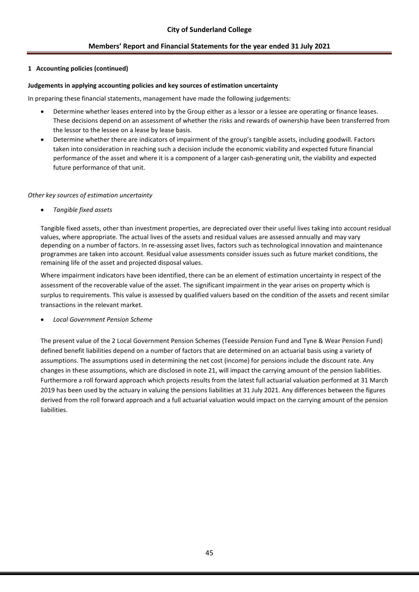### **1 Accounting policies (continued)**

### **Judgements in applying accounting policies and key sources of estimation uncertainty**

In preparing these financial statements, management have made the following judgements:

- Determine whether leases entered into by the Group either as a lessor or a lessee are operating or finance leases. These decisions depend on an assessment of whether the risks and rewards of ownership have been transferred from the lessor to the lessee on a lease by lease basis.
- Determine whether there are indicators of impairment of the group's tangible assets, including goodwill. Factors taken into consideration in reaching such a decision include the economic viability and expected future financial performance of the asset and where it is a component of a larger cash-generating unit, the viability and expected future performance of that unit.

### *Other key sources of estimation uncertainty*

• *Tangible fixed assets*

Tangible fixed assets, other than investment properties, are depreciated over their useful lives taking into account residual values, where appropriate. The actual lives of the assets and residual values are assessed annually and may vary depending on a number of factors. In re-assessing asset lives, factors such as technological innovation and maintenance programmes are taken into account. Residual value assessments consider issues such as future market conditions, the remaining life of the asset and projected disposal values.

Where impairment indicators have been identified, there can be an element of estimation uncertainty in respect of the assessment of the recoverable value of the asset. The significant impairment in the year arises on property which is surplus to requirements. This value is assessed by qualified valuers based on the condition of the assets and recent similar transactions in the relevant market.

• *Local Government Pension Scheme*

The present value of the 2 Local Government Pension Schemes (Teesside Pension Fund and Tyne & Wear Pension Fund) defined benefit liabilities depend on a number of factors that are determined on an actuarial basis using a variety of assumptions. The assumptions used in determining the net cost (income) for pensions include the discount rate. Any changes in these assumptions, which are disclosed in note 21, will impact the carrying amount of the pension liabilities. Furthermore a roll forward approach which projects results from the latest full actuarial valuation performed at 31 March 2019 has been used by the actuary in valuing the pensions liabilities at 31 July 2021. Any differences between the figures derived from the roll forward approach and a full actuarial valuation would impact on the carrying amount of the pension liabilities.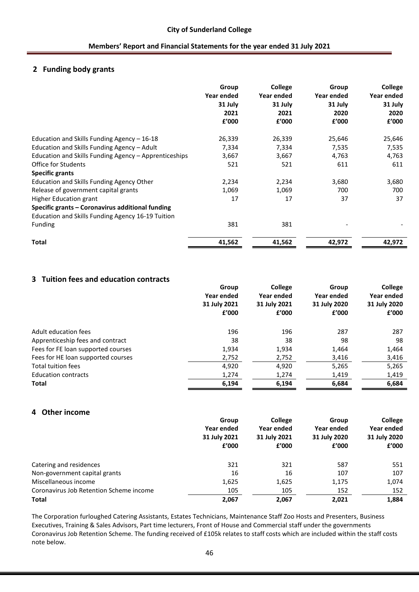# **2 Funding body grants**

|                                                       | Group<br>Year ended<br>31 July<br>2021<br>£'000 | <b>College</b><br>Year ended<br>31 July<br>2021<br>f'000 | Group<br>Year ended<br>31 July<br>2020<br>f'000 | College<br>Year ended<br>31 July<br>2020<br>£'000 |
|-------------------------------------------------------|-------------------------------------------------|----------------------------------------------------------|-------------------------------------------------|---------------------------------------------------|
| Education and Skills Funding Agency - 16-18           | 26,339                                          | 26,339                                                   | 25,646                                          | 25,646                                            |
| Education and Skills Funding Agency - Adult           | 7,334                                           | 7,334                                                    | 7,535                                           | 7,535                                             |
| Education and Skills Funding Agency - Apprenticeships | 3,667                                           | 3,667                                                    | 4,763                                           | 4,763                                             |
| Office for Students                                   | 521                                             | 521                                                      | 611                                             | 611                                               |
| <b>Specific grants</b>                                |                                                 |                                                          |                                                 |                                                   |
| Education and Skills Funding Agency Other             | 2,234                                           | 2,234                                                    | 3,680                                           | 3,680                                             |
| Release of government capital grants                  | 1,069                                           | 1,069                                                    | 700                                             | 700                                               |
| Higher Education grant                                | 17                                              | 17                                                       | 37                                              | 37                                                |
| Specific grants - Coronavirus additional funding      |                                                 |                                                          |                                                 |                                                   |
| Education and Skills Funding Agency 16-19 Tuition     |                                                 |                                                          |                                                 |                                                   |
| Funding                                               | 381                                             | 381                                                      |                                                 |                                                   |
| <b>Total</b>                                          | 41,562                                          | 41,562                                                   | 42,972                                          | 42,972                                            |

# **3 Tuition fees and education contracts**

|                                    | Group<br>Year ended<br>31 July 2021 | <b>College</b><br>Year ended<br>31 July 2021 | Group<br>Year ended<br>31 July 2020 | College<br>Year ended<br>31 July 2020 |
|------------------------------------|-------------------------------------|----------------------------------------------|-------------------------------------|---------------------------------------|
|                                    | f'000                               | f'000                                        | f'000                               | f'000                                 |
| Adult education fees               | 196                                 | 196                                          | 287                                 | 287                                   |
| Apprenticeship fees and contract   | 38                                  | 38                                           | 98                                  | 98                                    |
| Fees for FE loan supported courses | 1,934                               | 1,934                                        | 1,464                               | 1,464                                 |
| Fees for HE loan supported courses | 2,752                               | 2,752                                        | 3,416                               | 3,416                                 |
| <b>Total tuition fees</b>          | 4,920                               | 4,920                                        | 5,265                               | 5,265                                 |
| <b>Education contracts</b>         | 1,274                               | 1,274                                        | 1,419                               | 1,419                                 |
| <b>Total</b>                       | 6,194                               | 6,194                                        | 6,684                               | 6,684                                 |

## **4 Other income**

|                                         | Group                      | <b>College</b> | Group        | College      |
|-----------------------------------------|----------------------------|----------------|--------------|--------------|
|                                         | Year ended<br>31 July 2021 | Year ended     | Year ended   | Year ended   |
|                                         |                            | 31 July 2021   | 31 July 2020 | 31 July 2020 |
|                                         | f'000                      | £'000          | f'000        | £'000        |
| Catering and residences                 | 321                        | 321            | 587          | 551          |
| Non-government capital grants           | 16                         | 16             | 107          | 107          |
| Miscellaneous income                    | 1,625                      | 1,625          | 1,175        | 1,074        |
| Coronavirus Job Retention Scheme income | 105                        | 105            | 152          | 152          |
| <b>Total</b>                            | 2,067                      | 2,067          | 2,021        | 1,884        |

The Corporation furloughed Catering Assistants, Estates Technicians, Maintenance Staff Zoo Hosts and Presenters, Business Executives, Training & Sales Advisors, Part time lecturers, Front of House and Commercial staff under the governments Coronavirus Job Retention Scheme. The funding received of £105k relates to staff costs which are included within the staff costs note below.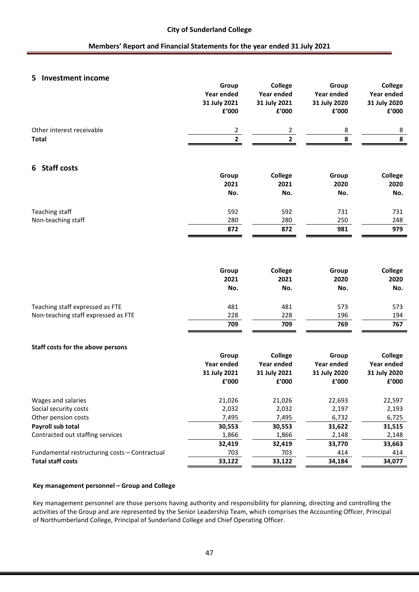## **5 Investment income**

|                                               | Group          | <b>College</b>         | Group         | College                |
|-----------------------------------------------|----------------|------------------------|---------------|------------------------|
|                                               | Year ended     | Year ended             | Year ended    | Year ended             |
|                                               | 31 July 2021   | 31 July 2021           | 31 July 2020  | 31 July 2020           |
|                                               | £'000          | £'000                  | £'000         | ${\bf f}^{\prime}$ 000 |
| Other interest receivable                     | $\overline{2}$ |                        | 8             | 8                      |
| <b>Total</b>                                  | $\overline{2}$ | $\frac{2}{2}$          | 8             | 8                      |
| 6 Staff costs                                 |                |                        |               |                        |
|                                               | Group          | College                | Group         | College                |
|                                               | 2021           | 2021                   | 2020          | 2020                   |
|                                               | No.            | No.                    | No.           | No.                    |
| Teaching staff                                | 592            | 592                    | 731           | 731                    |
| Non-teaching staff                            | 280            | 280                    | 250           | 248                    |
|                                               | 872            | 872                    | 981           | 979                    |
|                                               | Group<br>2021  | <b>College</b><br>2021 | Group<br>2020 | College<br>2020        |
|                                               | No.            | No.                    | No.           | No.                    |
|                                               |                |                        |               |                        |
| Teaching staff expressed as FTE               | 481            | 481                    | 573           | 573                    |
| Non-teaching staff expressed as FTE           | 228            | 228                    | 196           | 194                    |
|                                               | 709            | 709                    | 769           | 767                    |
| Staff costs for the above persons             |                |                        |               |                        |
|                                               | Group          | College                | Group         | College                |
|                                               | Year ended     | Year ended             | Year ended    | Year ended             |
|                                               | 31 July 2021   | 31 July 2021           | 31 July 2020  | 31 July 2020           |
|                                               | £'000          | £'000                  | £'000         | £'000                  |
| Wages and salaries                            | 21,026         | 21,026                 | 22,693        | 22,597                 |
| Social security costs                         | 2,032          | 2,032                  | 2,197         | 2,193                  |
| Other pension costs                           | 7,495          | 7,495                  | 6,732         | 6,725                  |
| Payroll sub total                             | 30,553         | 30,553                 | 31,622        | 31,515                 |
| Contracted out staffing services              | 1,866          | 1,866                  | 2,148         | 2,148                  |
|                                               | 32,419         | 32,419                 | 33,770        | 33,663                 |
| Fundamental restructuring costs - Contractual | 703            | 703                    | 414           | 414                    |
| <b>Total staff costs</b>                      | 33,122         | 33,122                 | 34,184        | 34,077                 |

#### **Key management personnel – Group and College**

Key management personnel are those persons having authority and responsibility for planning, directing and controlling the activities of the Group and are represented by the Senior Leadership Team, which comprises the Accounting Officer, Principal of Northumberland College, Principal of Sunderland College and Chief Operating Officer.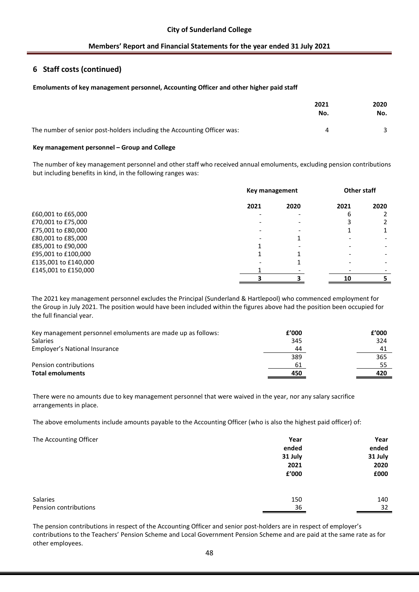# **6 Staff costs (continued)**

### **Emoluments of key management personnel, Accounting Officer and other higher paid staff**

|                                                                         | 2021<br>No. | 2020<br>No. |
|-------------------------------------------------------------------------|-------------|-------------|
| The number of senior post-holders including the Accounting Officer was: | 4           |             |

#### **Key management personnel – Group and College**

The number of key management personnel and other staff who received annual emoluments, excluding pension contributions but including benefits in kind, in the following ranges was:

|                      |      | Key management |      | <b>Other staff</b> |  |
|----------------------|------|----------------|------|--------------------|--|
|                      | 2021 | 2020           | 2021 | 2020               |  |
| £60,001 to £65,000   |      |                | 6    |                    |  |
| £70,001 to £75,000   |      |                |      |                    |  |
| £75,001 to £80,000   |      |                |      |                    |  |
| £80,001 to £85,000   |      |                |      |                    |  |
| £85,001 to £90,000   |      |                |      |                    |  |
| £95,001 to £100,000  |      |                |      |                    |  |
| £135,001 to £140,000 |      |                |      |                    |  |
| £145,001 to £150,000 |      |                |      |                    |  |
|                      |      |                | 10   |                    |  |

The 2021 key management personnel excludes the Principal (Sunderland & Hartlepool) who commenced employment for the Group in July 2021. The position would have been included within the figures above had the position been occupied for the full financial year.

| Key management personnel emoluments are made up as follows: | £'000 | f'000 |
|-------------------------------------------------------------|-------|-------|
| Salaries                                                    | 345   | 324   |
| Employer's National Insurance                               | 44    | 41    |
|                                                             | 389   | 365   |
| Pension contributions                                       | 61    |       |
| <b>Total emoluments</b>                                     | 450   | 420   |

There were no amounts due to key management personnel that were waived in the year, nor any salary sacrifice arrangements in place.

The above emoluments include amounts payable to the Accounting Officer (who is also the highest paid officer) of:

| The Accounting Officer |  |
|------------------------|--|
|------------------------|--|

| The Accounting Officer | Year    | Year    |
|------------------------|---------|---------|
|                        | ended   | ended   |
|                        | 31 July | 31 July |
|                        | 2021    | 2020    |
|                        | £'000   | £000    |
|                        |         |         |
| Salaries               | 150     | 140     |
| Pension contributions  | 36      | 32      |

The pension contributions in respect of the Accounting Officer and senior post-holders are in respect of employer's contributions to the Teachers' Pension Scheme and Local Government Pension Scheme and are paid at the same rate as for other employees.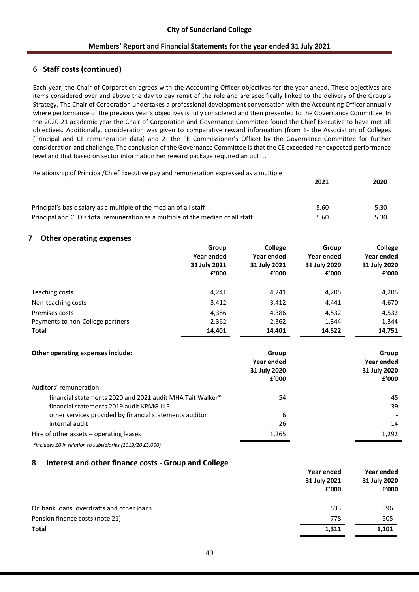# **6 Staff costs (continued)**

Each year, the Chair of Corporation agrees with the Accounting Officer objectives for the year ahead. These objectives are items considered over and above the day to day remit of the role and are specifically linked to the delivery of the Group's Strategy. The Chair of Corporation undertakes a professional development conversation with the Accounting Officer annually where performance of the previous year's objectives is fully considered and then presented to the Governance Committee. In the 2020-21 academic year the Chair of Corporation and Governance Committee found the Chief Executive to have met all objectives. Additionally, consideration was given to comparative reward information (from 1- the Association of Colleges [Principal and CE remuneration data] and 2- the FE Commissioner's Office) by the Governance Committee for further consideration and challenge. The conclusion of the Governance Committee is that the CE exceeded her expected performance level and that based on sector information her reward package required an uplift.

| Relationship of Principal/Chief Executive pay and remuneration expressed as a multiple<br>2021 |      |      |
|------------------------------------------------------------------------------------------------|------|------|
| Principal's basic salary as a multiple of the median of all staff                              | 5.60 | 5.30 |
| Principal and CEO's total remuneration as a multiple of the median of all staff                | 5.60 | 5.30 |

### **7 Other operating expenses**

|                                  | Group<br>Year ended<br>31 July 2021<br>f'000 | College<br>Year ended<br>31 July 2021<br>f'000 | Group<br>Year ended<br>31 July 2020<br>f'000 | College<br>Year ended<br>31 July 2020<br>£'000 |
|----------------------------------|----------------------------------------------|------------------------------------------------|----------------------------------------------|------------------------------------------------|
| Teaching costs                   | 4,241                                        | 4,241                                          | 4,205                                        | 4,205                                          |
| Non-teaching costs               | 3,412                                        | 3,412                                          | 4,441                                        | 4,670                                          |
| Premises costs                   | 4,386                                        | 4,386                                          | 4,532                                        | 4,532                                          |
| Payments to non-College partners | 2,362                                        | 2,362                                          | 1,344                                        | 1,344                                          |
| <b>Total</b>                     | 14,401                                       | 14,401                                         | 14,522                                       | 14,751                                         |

| Other operating expenses include:                         | Group<br>Year ended<br>31 July 2020<br>f'000 | Group<br>Year ended<br>31 July 2020<br>f'000 |
|-----------------------------------------------------------|----------------------------------------------|----------------------------------------------|
| Auditors' remuneration:                                   |                                              |                                              |
| financial statements 2020 and 2021 audit MHA Tait Walker* | 54                                           | 45                                           |
| financial statements 2019 audit KPMG LLP                  |                                              | 39                                           |
| other services provided by financial statements auditor   | 6                                            |                                              |
| internal audit                                            | 26                                           | 14                                           |
| Hire of other assets - operating leases                   | 1,265                                        | 1.292                                        |

*\*includes £0 in relation to subsidiaries (2019/20 £3,000)*

### **8 Interest and other finance costs - Group and College**

|                                           | Year ended   | Year ended   |
|-------------------------------------------|--------------|--------------|
|                                           | 31 July 2021 | 31 July 2020 |
|                                           | f'000        | f'000        |
| On bank loans, overdrafts and other loans | 533          | 596          |
| Pension finance costs (note 21)           | 778          | 505          |
| <b>Total</b>                              | 1,311        | 1,101        |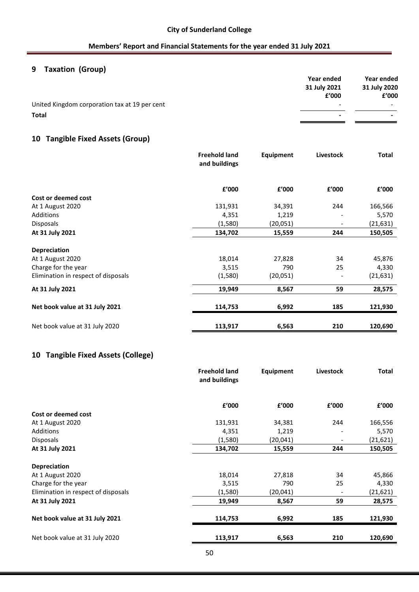# **9 Taxation (Group)**

|                                               | Year ended               | Year ended               |
|-----------------------------------------------|--------------------------|--------------------------|
|                                               | 31 July 2021             | 31 July 2020             |
|                                               | f'000                    | £'000                    |
| United Kingdom corporation tax at 19 per cent | $\overline{\phantom{0}}$ | $\overline{\phantom{0}}$ |
| <b>Total</b>                                  | ٠                        | $\overline{\phantom{0}}$ |

# **10 Tangible Fixed Assets (Group)**

|                                     | <b>Freehold land</b><br>and buildings | Equipment | Livestock | <b>Total</b> |
|-------------------------------------|---------------------------------------|-----------|-----------|--------------|
|                                     | £'000                                 | f'000     | £'000     | f'000        |
| Cost or deemed cost                 |                                       |           |           |              |
| At 1 August 2020                    | 131,931                               | 34,391    | 244       | 166,566      |
| Additions                           | 4,351                                 | 1,219     |           | 5,570        |
| <b>Disposals</b>                    | (1,580)                               | (20, 051) |           | (21, 631)    |
| At 31 July 2021                     | 134,702                               | 15,559    | 244       | 150,505      |
| <b>Depreciation</b>                 |                                       |           |           |              |
| At 1 August 2020                    | 18,014                                | 27,828    | 34        | 45,876       |
| Charge for the year                 | 3,515                                 | 790       | 25        | 4,330        |
| Elimination in respect of disposals | (1,580)                               | (20, 051) |           | (21, 631)    |
| At 31 July 2021                     | 19,949                                | 8,567     | 59        | 28,575       |
| Net book value at 31 July 2021      | 114,753                               | 6,992     | 185       | 121,930      |
| Net book value at 31 July 2020      | 113,917                               | 6,563     | 210       | 120,690      |

# **10 Tangible Fixed Assets (College)**

|                                     | <b>Freehold land</b><br>and buildings | Equipment | Livestock | <b>Total</b> |
|-------------------------------------|---------------------------------------|-----------|-----------|--------------|
|                                     | £'000                                 | f'000     | £'000     | f'000        |
| Cost or deemed cost                 |                                       |           |           |              |
| At 1 August 2020                    | 131,931                               | 34,381    | 244       | 166,556      |
| Additions                           | 4,351                                 | 1,219     |           | 5,570        |
| <b>Disposals</b>                    | (1,580)                               | (20,041)  |           | (21, 621)    |
| At 31 July 2021                     | 134,702                               | 15,559    | 244       | 150,505      |
| <b>Depreciation</b>                 |                                       |           |           |              |
| At 1 August 2020                    | 18,014                                | 27,818    | 34        | 45,866       |
| Charge for the year                 | 3,515                                 | 790       | 25        | 4,330        |
| Elimination in respect of disposals | (1,580)                               | (20, 041) |           | (21, 621)    |
| At 31 July 2021                     | 19,949                                | 8,567     | 59        | 28,575       |
| Net book value at 31 July 2021      | 114,753                               | 6,992     | 185       | 121,930      |
| Net book value at 31 July 2020      | 113,917                               | 6,563     | 210       | 120,690      |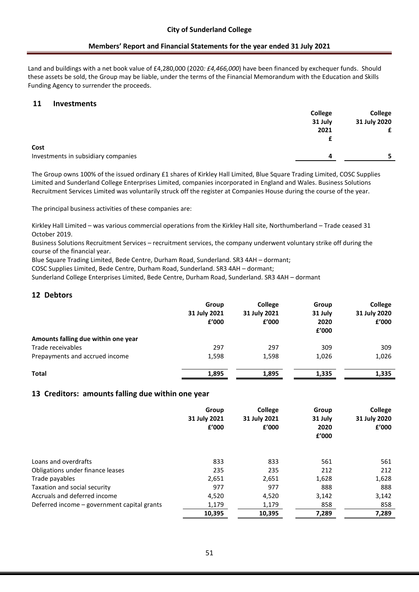Land and buildings with a net book value of £4,280,000 (2020*: £4,466,000*) have been financed by exchequer funds. Should these assets be sold, the Group may be liable, under the terms of the Financial Memorandum with the Education and Skills Funding Agency to surrender the proceeds.

## **11 Investments**

|                                     | College | <b>College</b> |
|-------------------------------------|---------|----------------|
|                                     | 31 July | 31 July 2020   |
|                                     | 2021    | £              |
|                                     |         |                |
| Cost                                |         |                |
| Investments in subsidiary companies | д       |                |
|                                     |         |                |

The Group owns 100% of the issued ordinary £1 shares of Kirkley Hall Limited, Blue Square Trading Limited, COSC Supplies Limited and Sunderland College Enterprises Limited, companies incorporated in England and Wales. Business Solutions Recruitment Services Limited was voluntarily struck off the register at Companies House during the course of the year.

The principal business activities of these companies are:

Kirkley Hall Limited – was various commercial operations from the Kirkley Hall site, Northumberland – Trade ceased 31 October 2019.

Business Solutions Recruitment Services – recruitment services, the company underwent voluntary strike off during the course of the financial year.

Blue Square Trading Limited, Bede Centre, Durham Road, Sunderland. SR3 4AH – dormant;

COSC Supplies Limited, Bede Centre, Durham Road, Sunderland. SR3 4AH – dormant;

Sunderland College Enterprises Limited, Bede Centre, Durham Road, Sunderland. SR3 4AH – dormant

# **12 Debtors**

|                                     | Group<br>31 July 2021<br>f'000 | <b>College</b><br>31 July 2021<br>f'000 | Group<br>31 July<br>2020<br>£'000 | College<br>31 July 2020<br>£'000 |
|-------------------------------------|--------------------------------|-----------------------------------------|-----------------------------------|----------------------------------|
| Amounts falling due within one year |                                |                                         |                                   |                                  |
| Trade receivables                   | 297                            | 297                                     | 309                               | 309                              |
| Prepayments and accrued income      | 1,598                          | 1,598                                   | 1,026                             | 1,026                            |
| Total                               | 1,895                          | 1,895                                   | 1,335                             | 1,335                            |

### **13 Creditors: amounts falling due within one year**

|                                             | Group<br>31 July 2021<br>£'000 | College<br>31 July 2021<br>£'000 | Group<br>31 July<br>2020<br>£'000 | College<br>31 July 2020<br>£'000 |
|---------------------------------------------|--------------------------------|----------------------------------|-----------------------------------|----------------------------------|
| Loans and overdrafts                        | 833                            | 833                              | 561                               | 561                              |
| Obligations under finance leases            | 235                            | 235                              | 212                               | 212                              |
| Trade payables                              | 2,651                          | 2,651                            | 1,628                             | 1,628                            |
| Taxation and social security                | 977                            | 977                              | 888                               | 888                              |
| Accruals and deferred income                | 4,520                          | 4,520                            | 3,142                             | 3,142                            |
| Deferred income - government capital grants | 1,179                          | 1,179                            | 858                               | 858                              |
|                                             | 10,395                         | 10,395                           | 7,289                             | 7,289                            |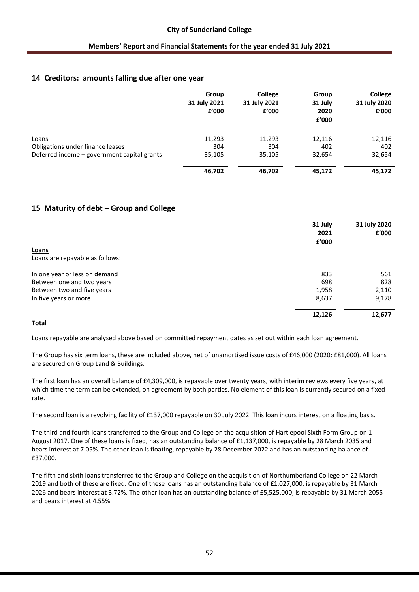## **14 Creditors: amounts falling due after one year**

|                                             | Group<br>31 July 2021<br>£'000 | <b>College</b><br>31 July 2021<br>£'000 | Group<br>31 July<br>2020<br>f'000 | <b>College</b><br>31 July 2020<br>£'000 |
|---------------------------------------------|--------------------------------|-----------------------------------------|-----------------------------------|-----------------------------------------|
| Loans                                       | 11,293                         | 11,293                                  | 12,116                            | 12,116                                  |
| Obligations under finance leases            | 304                            | 304                                     | 402                               | 402                                     |
| Deferred income - government capital grants | 35,105                         | 35,105                                  | 32,654                            | 32,654                                  |
|                                             | 46,702                         | 46,702                                  | 45,172                            | 45,172                                  |

# **15 Maturity of debt – Group and College**

|                                 | 31 July<br>2021<br>£'000 | 31 July 2020<br>£'000 |
|---------------------------------|--------------------------|-----------------------|
| Loans                           |                          |                       |
| Loans are repayable as follows: |                          |                       |
| In one year or less on demand   | 833                      | 561                   |
| Between one and two years       | 698                      | 828                   |
| Between two and five years      | 1,958                    | 2,110                 |
| In five years or more           | 8,637                    | 9,178                 |
|                                 | 12,126                   | 12,677                |

### **Total**

Loans repayable are analysed above based on committed repayment dates as set out within each loan agreement.

The Group has six term loans, these are included above, net of unamortised issue costs of £46,000 (2020: £81,000). All loans are secured on Group Land & Buildings.

The first loan has an overall balance of £4,309,000, is repayable over twenty years, with interim reviews every five years, at which time the term can be extended, on agreement by both parties. No element of this loan is currently secured on a fixed rate.

The second loan is a revolving facility of £137,000 repayable on 30 July 2022. This loan incurs interest on a floating basis.

The third and fourth loans transferred to the Group and College on the acquisition of Hartlepool Sixth Form Group on 1 August 2017. One of these loans is fixed, has an outstanding balance of £1,137,000, is repayable by 28 March 2035 and bears interest at 7.05%. The other loan is floating, repayable by 28 December 2022 and has an outstanding balance of £37,000.

The fifth and sixth loans transferred to the Group and College on the acquisition of Northumberland College on 22 March 2019 and both of these are fixed. One of these loans has an outstanding balance of £1,027,000, is repayable by 31 March 2026 and bears interest at 3.72%. The other loan has an outstanding balance of £5,525,000, is repayable by 31 March 2055 and bears interest at 4.55%.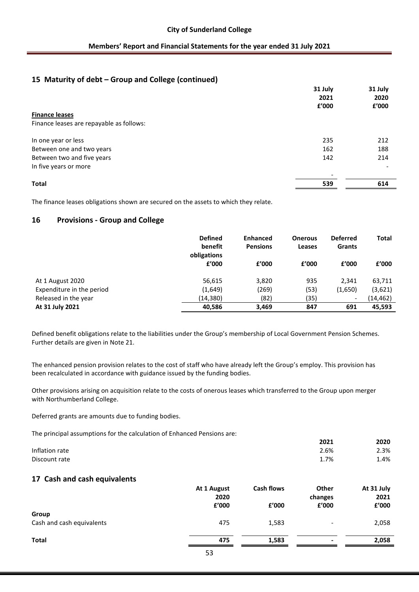# **15 Maturity of debt – Group and College (continued)**

|                                          | 31 July                         | 31 July<br>2020 |
|------------------------------------------|---------------------------------|-----------------|
|                                          | 2021                            |                 |
|                                          | £'000                           | £'000           |
| <b>Finance leases</b>                    |                                 |                 |
| Finance leases are repayable as follows: |                                 |                 |
| In one year or less                      | 235                             | 212             |
| Between one and two years                | 162                             | 188             |
| Between two and five years               | 142                             | 214             |
| In five years or more                    |                                 |                 |
| Total                                    | $\overline{\phantom{a}}$<br>539 | 614             |
|                                          |                                 |                 |

The finance leases obligations shown are secured on the assets to which they relate.

# **16 Provisions - Group and College**

|                           | <b>Defined</b><br>benefit<br>obligations | <b>Enhanced</b><br><b>Pensions</b> | <b>Onerous</b><br>Leases | <b>Deferred</b><br><b>Grants</b> | <b>Total</b> |
|---------------------------|------------------------------------------|------------------------------------|--------------------------|----------------------------------|--------------|
|                           | £'000                                    | f'000                              | f'000                    | f'000                            | £'000        |
| At 1 August 2020          | 56,615                                   | 3,820                              | 935                      | 2,341                            | 63,711       |
| Expenditure in the period | (1,649)                                  | (269)                              | (53)                     | (1,650)                          | (3,621)      |
| Released in the year      | (14, 380)                                | (82)                               | (35)                     | $\overline{\phantom{a}}$         | (14,462)     |
| At 31 July 2021           | 40,586                                   | 3,469                              | 847                      | 691                              | 45,593       |

Defined benefit obligations relate to the liabilities under the Group's membership of Local Government Pension Schemes. Further details are given in Note 21.

The enhanced pension provision relates to the cost of staff who have already left the Group's employ. This provision has been recalculated in accordance with guidance issued by the funding bodies.

Other provisions arising on acquisition relate to the costs of onerous leases which transferred to the Group upon merger with Northumberland College.

Deferred grants are amounts due to funding bodies.

The principal assumptions for the calculation of Enhanced Pensions are:

|                | 2021 | 2020 |
|----------------|------|------|
| Inflation rate | 2.6% | 2.3% |
| Discount rate  | 1.7% | 1.4% |

### **17 Cash and cash equivalents**

|                           | At 1 August<br>2020 | <b>Cash flows</b> | Other<br>changes         | At 31 July<br>2021 |
|---------------------------|---------------------|-------------------|--------------------------|--------------------|
|                           | £'000               | £'000             | £'000                    | £'000              |
| Group                     |                     |                   |                          |                    |
| Cash and cash equivalents | 475                 | 1,583             | $\overline{\phantom{a}}$ | 2,058              |
| <b>Total</b>              | 475                 | 1,583             | $\blacksquare$           | 2,058              |
|                           | $ \sim$             |                   |                          |                    |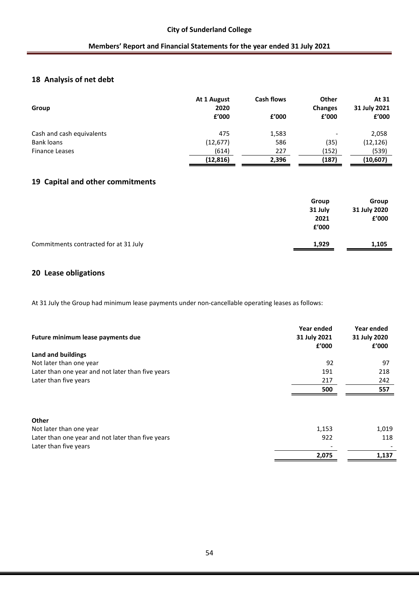# **18 Analysis of net debt**

| Group                     | At 1 August<br>2020<br>£'000 | <b>Cash flows</b><br>£'000 | Other<br><b>Changes</b><br>f'000 | At 31<br>31 July 2021<br>£'000 |
|---------------------------|------------------------------|----------------------------|----------------------------------|--------------------------------|
| Cash and cash equivalents | 475                          | 1,583                      | $\overline{\phantom{0}}$         | 2,058                          |
| Bank loans                | (12, 677)                    | 586                        | (35)                             | (12, 126)                      |
| <b>Finance Leases</b>     | (614)                        | 227                        | (152)                            | (539)                          |
|                           | (12, 816)                    | 2,396                      | (187)                            | (10,607)                       |

# **19 Capital and other commitments**

|                                       | Group<br>31 July | Group<br>31 July 2020 |
|---------------------------------------|------------------|-----------------------|
|                                       | 2021             | £'000                 |
|                                       | £'000            |                       |
| Commitments contracted for at 31 July | 1,929            | 1,105                 |

# **20 Lease obligations**

At 31 July the Group had minimum lease payments under non-cancellable operating leases as follows:

| Future minimum lease payments due                 | Year ended<br>31 July 2021<br>£'000 | Year ended<br>31 July 2020<br>£'000 |
|---------------------------------------------------|-------------------------------------|-------------------------------------|
| Land and buildings                                |                                     |                                     |
| Not later than one year                           | 92                                  | 97                                  |
| Later than one year and not later than five years | 191                                 | 218                                 |
| Later than five years                             | 217                                 | 242                                 |
|                                                   | 500                                 | 557                                 |
|                                                   |                                     |                                     |
| Other                                             |                                     |                                     |
| Not later than one year                           | 1,153                               | 1,019                               |
| Later than one year and not later than five years | 922                                 | 118                                 |
| Later than five years                             |                                     |                                     |
|                                                   | 2,075                               | 1,137                               |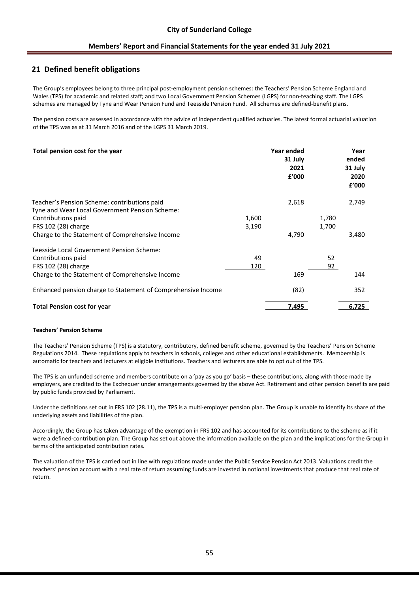# **21 Defined benefit obligations**

The Group's employees belong to three principal post-employment pension schemes: the Teachers' Pension Scheme England and Wales (TPS) for academic and related staff; and two Local Government Pension Schemes (LGPS) for non-teaching staff. The LGPS schemes are managed by Tyne and Wear Pension Fund and Teesside Pension Fund. All schemes are defined-benefit plans.

The pension costs are assessed in accordance with the advice of independent qualified actuaries. The latest formal actuarial valuation of the TPS was as at 31 March 2016 and of the LGPS 31 March 2019.

| Total pension cost for the year                                                                |       | Year ended<br>31 July<br>2021<br>£'000 |       | Year<br>ended<br>31 July<br>2020<br>£'000 |
|------------------------------------------------------------------------------------------------|-------|----------------------------------------|-------|-------------------------------------------|
| Teacher's Pension Scheme: contributions paid<br>Tyne and Wear Local Government Pension Scheme: |       | 2,618                                  |       | 2,749                                     |
| Contributions paid                                                                             | 1,600 |                                        | 1,780 |                                           |
| FRS 102 (28) charge                                                                            | 3,190 |                                        | 1,700 |                                           |
| Charge to the Statement of Comprehensive Income                                                |       | 4,790                                  |       | 3,480                                     |
| Teesside Local Government Pension Scheme:                                                      |       |                                        |       |                                           |
| Contributions paid                                                                             | 49    |                                        | 52    |                                           |
| FRS 102 (28) charge                                                                            | 120   |                                        | 92    |                                           |
| Charge to the Statement of Comprehensive Income                                                |       | 169                                    |       | 144                                       |
| Enhanced pension charge to Statement of Comprehensive Income                                   |       | (82)                                   |       | 352                                       |
| <b>Total Pension cost for year</b>                                                             |       | 7,495                                  |       | 6,725                                     |

#### **Teachers' Pension Scheme**

The Teachers' Pension Scheme (TPS) is a statutory, contributory, defined benefit scheme, governed by the Teachers' Pension Scheme Regulations 2014. These regulations apply to teachers in schools, colleges and other educational establishments. Membership is automatic for teachers and lecturers at eligible institutions. Teachers and lecturers are able to opt out of the TPS.

The TPS is an unfunded scheme and members contribute on a 'pay as you go' basis – these contributions, along with those made by employers, are credited to the Exchequer under arrangements governed by the above Act. Retirement and other pension benefits are paid by public funds provided by Parliament.

Under the definitions set out in FRS 102 (28.11), the TPS is a multi-employer pension plan. The Group is unable to identify its share of the underlying assets and liabilities of the plan.

Accordingly, the Group has taken advantage of the exemption in FRS 102 and has accounted for its contributions to the scheme as if it were a defined-contribution plan. The Group has set out above the information available on the plan and the implications for the Group in terms of the anticipated contribution rates.

The valuation of the TPS is carried out in line with regulations made under the Public Service Pension Act 2013. Valuations credit the teachers' pension account with a real rate of return assuming funds are invested in notional investments that produce that real rate of return.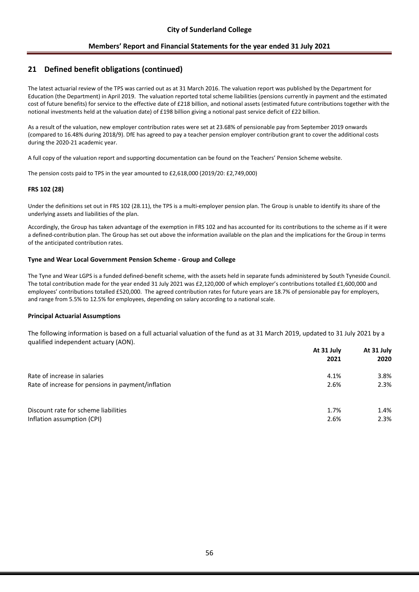# **21 Defined benefit obligations (continued)**

The latest actuarial review of the TPS was carried out as at 31 March 2016. The valuation report was published by the Department for Education (the Department) in April 2019. The valuation reported total scheme liabilities (pensions currently in payment and the estimated cost of future benefits) for service to the effective date of £218 billion, and notional assets (estimated future contributions together with the notional investments held at the valuation date) of £198 billion giving a notional past service deficit of £22 billion.

As a result of the valuation, new employer contribution rates were set at 23.68% of pensionable pay from September 2019 onwards (compared to 16.48% during 2018/9). DfE has agreed to pay a teacher pension employer contribution grant to cover the additional costs during the 2020-21 academic year.

A full copy of the valuation report and supporting documentation can be found on the Teachers' Pension Scheme website.

The pension costs paid to TPS in the year amounted to £2,618,000 (2019/20: £2,749,000)

#### **FRS 102 (28)**

Under the definitions set out in FRS 102 (28.11), the TPS is a multi-employer pension plan. The Group is unable to identify its share of the underlying assets and liabilities of the plan.

Accordingly, the Group has taken advantage of the exemption in FRS 102 and has accounted for its contributions to the scheme as if it were a defined-contribution plan. The Group has set out above the information available on the plan and the implications for the Group in terms of the anticipated contribution rates.

#### **Tyne and Wear Local Government Pension Scheme - Group and College**

The Tyne and Wear LGPS is a funded defined-benefit scheme, with the assets held in separate funds administered by South Tyneside Council. The total contribution made for the year ended 31 July 2021 was £2,120,000 of which employer's contributions totalled £1,600,000 and employees' contributions totalled £520,000. The agreed contribution rates for future years are 18.7% of pensionable pay for employers, and range from 5.5% to 12.5% for employees, depending on salary according to a national scale.

#### **Principal Actuarial Assumptions**

The following information is based on a full actuarial valuation of the fund as at 31 March 2019, updated to 31 July 2021 by a qualified independent actuary (AON).

|                                                    | At 31 July | At 31 July |
|----------------------------------------------------|------------|------------|
|                                                    | 2021       | 2020       |
| Rate of increase in salaries                       | 4.1%       | 3.8%       |
| Rate of increase for pensions in payment/inflation | 2.6%       | 2.3%       |
| Discount rate for scheme liabilities               | 1.7%       | 1.4%       |
| Inflation assumption (CPI)                         | 2.6%       | 2.3%       |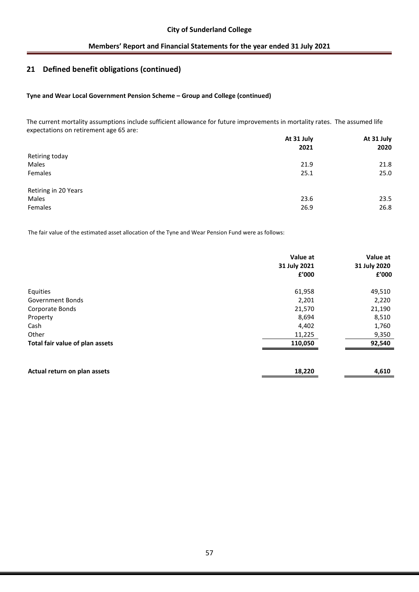# **21 Defined benefit obligations (continued)**

#### **Tyne and Wear Local Government Pension Scheme – Group and College (continued)**

The current mortality assumptions include sufficient allowance for future improvements in mortality rates. The assumed life expectations on retirement age 65 are: **At 31 July At 31 July**

| <b>AT 31 JUIV</b> |      |  |
|-------------------|------|--|
| 2021              | 2020 |  |
|                   |      |  |
| 21.9              | 21.8 |  |
| 25.1              | 25.0 |  |
|                   |      |  |
| 23.6              | 23.5 |  |
| 26.9              | 26.8 |  |
|                   |      |  |

The fair value of the estimated asset allocation of the Tyne and Wear Pension Fund were as follows:

|                                 | Value at<br>31 July 2021<br>£'000 | Value at<br>31 July 2020<br>£'000 |
|---------------------------------|-----------------------------------|-----------------------------------|
| Equities                        | 61,958                            | 49,510                            |
| <b>Government Bonds</b>         | 2,201                             | 2,220                             |
| Corporate Bonds                 | 21,570                            | 21,190                            |
| Property                        | 8,694                             | 8,510                             |
| Cash                            | 4,402                             | 1,760                             |
| Other                           | 11,225                            | 9,350                             |
| Total fair value of plan assets | 110,050                           | 92,540                            |
|                                 |                                   |                                   |
| Actual return on plan assets    | 18,220                            | 4,610                             |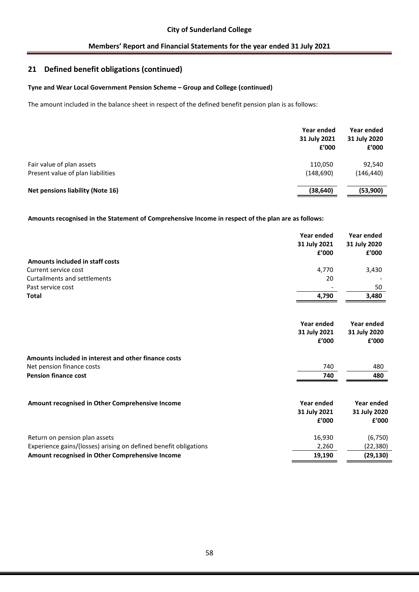# **21 Defined benefit obligations (continued)**

### **Tyne and Wear Local Government Pension Scheme – Group and College (continued)**

The amount included in the balance sheet in respect of the defined benefit pension plan is as follows:

|                                         | Year ended<br>31 July 2021<br>f'000 | Year ended<br>31 July 2020<br>f'000 |
|-----------------------------------------|-------------------------------------|-------------------------------------|
| Fair value of plan assets               | 110,050                             | 92,540                              |
| Present value of plan liabilities       | (148, 690)                          | (146, 440)                          |
| <b>Net pensions liability (Note 16)</b> | (38, 640)                           | (53,900)                            |

**Amounts recognised in the Statement of Comprehensive Income in respect of the plan are as follows:**

|                                                                  | Year ended<br>31 July 2021 | <b>Year ended</b><br>31 July 2020 |
|------------------------------------------------------------------|----------------------------|-----------------------------------|
|                                                                  | f'000                      | £'000                             |
| Amounts included in staff costs                                  |                            |                                   |
| Current service cost                                             | 4,770                      | 3,430                             |
| <b>Curtailments and settlements</b>                              | 20                         |                                   |
| Past service cost                                                |                            | 50                                |
| <b>Total</b>                                                     | 4,790                      | 3,480                             |
|                                                                  | Year ended                 | Year ended                        |
|                                                                  | 31 July 2021               | 31 July 2020                      |
|                                                                  | £'000                      | £'000                             |
|                                                                  |                            |                                   |
| Amounts included in interest and other finance costs             |                            |                                   |
| Net pension finance costs                                        | 740                        | 480                               |
| <b>Pension finance cost</b>                                      | 740                        | 480                               |
| Amount recognised in Other Comprehensive Income                  | Year ended                 | Year ended                        |
|                                                                  | 31 July 2021               | 31 July 2020                      |
|                                                                  | £'000                      | £'000                             |
| Return on pension plan assets                                    | 16,930                     | (6, 750)                          |
| Experience gains/(losses) arising on defined benefit obligations | 2,260                      | (22, 380)                         |

**Amount recognised in Other Comprehensive Income 19,190 (29,130)**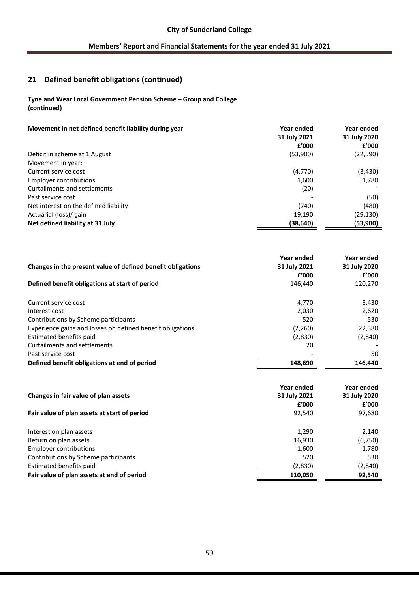# **21 Defined benefit obligations (continued)**

### **Tyne and Wear Local Government Pension Scheme – Group and College (continued)**

| (53,900)<br>Deficit in scheme at 1 August<br>Movement in year:<br>(4,770)<br>Current service cost<br><b>Employer contributions</b><br>1,600<br>Curtailments and settlements<br>(20)<br>(50)<br>Past service cost<br>(740)<br>Net interest on the defined liability<br>Actuarial (loss)/ gain<br>19,190 | Movement in net defined benefit liability during year | Year ended<br>31 July 2021<br>f'000 | Year ended<br>31 July 2020<br>f'000 |
|--------------------------------------------------------------------------------------------------------------------------------------------------------------------------------------------------------------------------------------------------------------------------------------------------------|-------------------------------------------------------|-------------------------------------|-------------------------------------|
|                                                                                                                                                                                                                                                                                                        |                                                       |                                     | (22,590)                            |
|                                                                                                                                                                                                                                                                                                        |                                                       |                                     |                                     |
|                                                                                                                                                                                                                                                                                                        |                                                       |                                     | (3, 430)                            |
|                                                                                                                                                                                                                                                                                                        |                                                       |                                     | 1,780                               |
|                                                                                                                                                                                                                                                                                                        |                                                       |                                     |                                     |
|                                                                                                                                                                                                                                                                                                        |                                                       |                                     |                                     |
|                                                                                                                                                                                                                                                                                                        |                                                       |                                     | (480)                               |
|                                                                                                                                                                                                                                                                                                        |                                                       |                                     | (29,130)                            |
|                                                                                                                                                                                                                                                                                                        | Net defined liability at 31 July                      | (38,640)                            | (53,900)                            |

|                                                             | Year ended        | Year ended   |
|-------------------------------------------------------------|-------------------|--------------|
| Changes in the present value of defined benefit obligations | 31 July 2021      | 31 July 2020 |
|                                                             | f'000             | £'000        |
| Defined benefit obligations at start of period              | 146,440           | 120,270      |
| Current service cost                                        | 4,770             | 3,430        |
| Interest cost                                               | 2,030             | 2,620        |
| Contributions by Scheme participants                        | 520               | 530          |
| Experience gains and losses on defined benefit obligations  | (2, 260)          | 22,380       |
| Estimated benefits paid                                     | (2,830)           | (2,840)      |
| <b>Curtailments and settlements</b>                         | 20                |              |
| Past service cost                                           |                   | 50           |
| Defined benefit obligations at end of period                | 148,690           | 146,440      |
|                                                             |                   |              |
|                                                             |                   |              |
|                                                             | <b>Year ended</b> | Year ended   |
| Changes in fair value of plan assets                        | 31 July 2021      | 31 July 2020 |
|                                                             | f'000             | f'000        |
| Fair value of plan assets at start of period                | 92,540            | 97,680       |
| Interest on plan assets                                     | 1,290             | 2,140        |
| Return on plan assets                                       | 16,930            | (6, 750)     |
| <b>Employer contributions</b>                               | 1,600             | 1,780        |
| Contributions by Scheme participants                        | 520               | 530          |
| Estimated benefits paid                                     | (2,830)           | (2,840)      |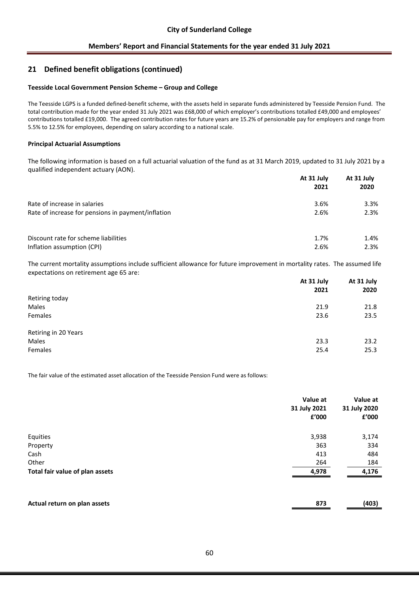## **21 Defined benefit obligations (continued)**

#### **Teesside Local Government Pension Scheme – Group and College**

The Teesside LGPS is a funded defined-benefit scheme, with the assets held in separate funds administered by Teesside Pension Fund. The total contribution made for the year ended 31 July 2021 was £68,000 of which employer's contributions totalled £49,000 and employees' contributions totalled £19,000. The agreed contribution rates for future years are 15.2% of pensionable pay for employers and range from 5.5% to 12.5% for employees, depending on salary according to a national scale.

#### **Principal Actuarial Assumptions**

The following information is based on a full actuarial valuation of the fund as at 31 March 2019, updated to 31 July 2021 by a qualified independent actuary (AON).

|                                                    | At 31 July | At 31 July |
|----------------------------------------------------|------------|------------|
|                                                    | 2021       | 2020       |
| Rate of increase in salaries                       | 3.6%       | 3.3%       |
| Rate of increase for pensions in payment/inflation | 2.6%       | 2.3%       |
| Discount rate for scheme liabilities               | 1.7%       | 1.4%       |
| Inflation assumption (CPI)                         | 2.6%       | 2.3%       |

The current mortality assumptions include sufficient allowance for future improvement in mortality rates. The assumed life expectations on retirement age 65 are:

|                      | At 31 July | At 31 July |
|----------------------|------------|------------|
|                      | 2021       | 2020       |
| Retiring today       |            |            |
| Males                | 21.9       | 21.8       |
| Females              | 23.6       | 23.5       |
| Retiring in 20 Years |            |            |
| Males                | 23.3       | 23.2       |
| Females              | 25.4       | 25.3       |

The fair value of the estimated asset allocation of the Teesside Pension Fund were as follows:

|                                 | Value at<br>31 July 2021<br>£'000 | Value at<br>31 July 2020<br>£'000 |
|---------------------------------|-----------------------------------|-----------------------------------|
| Equities                        | 3,938                             | 3,174                             |
| Property                        | 363                               | 334                               |
| Cash                            | 413                               | 484                               |
| Other                           | 264                               | 184                               |
| Total fair value of plan assets | 4,978                             | 4,176                             |
| Actual return on plan assets    | 873                               | (403)                             |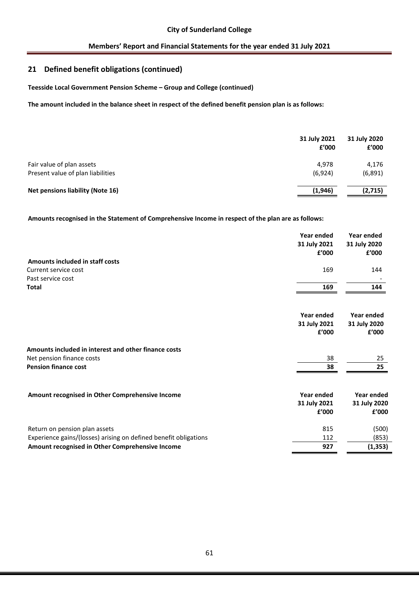# **21 Defined benefit obligations (continued)**

**Teesside Local Government Pension Scheme – Group and College (continued)** 

**The amount included in the balance sheet in respect of the defined benefit pension plan is as follows:**

|                                         | 31 July 2021<br>f'000 | 31 July 2020<br>£'000 |
|-----------------------------------------|-----------------------|-----------------------|
| Fair value of plan assets               | 4.978                 | 4,176                 |
| Present value of plan liabilities       | (6, 924)              | (6,891)               |
| <b>Net pensions liability (Note 16)</b> | (1,946)               | (2,715)               |

**Amounts recognised in the Statement of Comprehensive Income in respect of the plan are as follows:**

|                                                                  | Year ended<br>31 July 2021<br>f'000 | Year ended<br>31 July 2020<br>£'000 |
|------------------------------------------------------------------|-------------------------------------|-------------------------------------|
| Amounts included in staff costs                                  |                                     |                                     |
| Current service cost                                             | 169                                 | 144                                 |
| Past service cost                                                |                                     |                                     |
| <b>Total</b>                                                     | 169                                 | 144                                 |
|                                                                  | Year ended                          | Year ended                          |
|                                                                  | 31 July 2021                        | 31 July 2020                        |
|                                                                  | f'000                               | f'000                               |
| Amounts included in interest and other finance costs             |                                     |                                     |
| Net pension finance costs                                        | 38                                  | 25                                  |
| <b>Pension finance cost</b>                                      | 38                                  | 25                                  |
| Amount recognised in Other Comprehensive Income                  | Year ended                          | Year ended                          |
|                                                                  | 31 July 2021                        | 31 July 2020                        |
|                                                                  | £'000                               | £'000                               |
| Return on pension plan assets                                    | 815                                 | (500)                               |
| Experience gains/(losses) arising on defined benefit obligations | 112                                 | (853)                               |
| Amount recognised in Other Comprehensive Income                  | 927                                 | (1, 353)                            |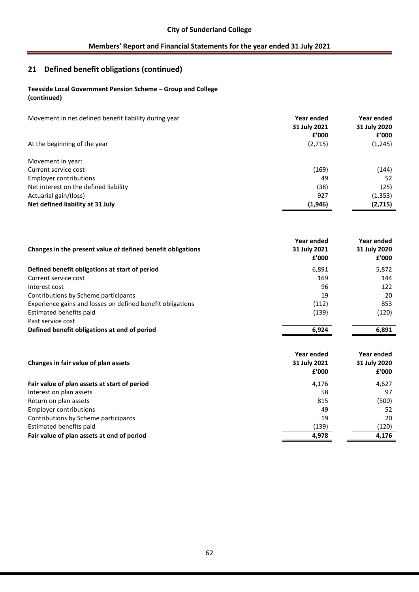# **21 Defined benefit obligations (continued)**

# **Teesside Local Government Pension Scheme – Group and College**

**(continued)** 

| Movement in net defined benefit liability during year | Year ended<br>31 July 2021<br>f'000 | Year ended<br>31 July 2020<br>f'000 |
|-------------------------------------------------------|-------------------------------------|-------------------------------------|
| At the beginning of the year                          | (2,715)                             | (1, 245)                            |
| Movement in year:                                     |                                     |                                     |
| Current service cost                                  | (169)                               | (144)                               |
| <b>Employer contributions</b>                         | 49                                  | 52                                  |
| Net interest on the defined liability                 | (38)                                | (25)                                |
| Actuarial gain/(loss)                                 | 927                                 | (1, 353)                            |
| Net defined liability at 31 July                      | (1,946)                             | (2,715)                             |

| Changes in the present value of defined benefit obligations | Year ended<br>31 July 2021<br>£'000 | Year ended<br>31 July 2020<br>£'000 |
|-------------------------------------------------------------|-------------------------------------|-------------------------------------|
| Defined benefit obligations at start of period              | 6,891                               | 5,872                               |
| Current service cost                                        | 169                                 | 144                                 |
| Interest cost                                               | 96                                  | 122                                 |
| Contributions by Scheme participants                        | 19                                  | 20                                  |
| Experience gains and losses on defined benefit obligations  | (112)                               | 853                                 |
| Estimated benefits paid                                     | (139)                               | (120)                               |
| Past service cost                                           |                                     |                                     |
| Defined benefit obligations at end of period                | 6,924                               | 6,891                               |
| Changes in fair value of plan assets                        | Year ended<br>31 July 2021<br>f'000 | Year ended<br>31 July 2020<br>£'000 |
| Fair value of plan assets at start of period                | 4,176                               | 4,627                               |
| Interest on plan assets                                     | 58                                  | 97                                  |
| Return on plan assets                                       | 815                                 | (500)                               |
| <b>Employer contributions</b>                               | 49                                  | 52                                  |
| Contributions by Scheme participants                        | 19                                  | 20                                  |
| Estimated benefits paid                                     | (139)                               | (120)                               |
| Fair value of plan assets at end of period                  | 4,978                               | 4,176                               |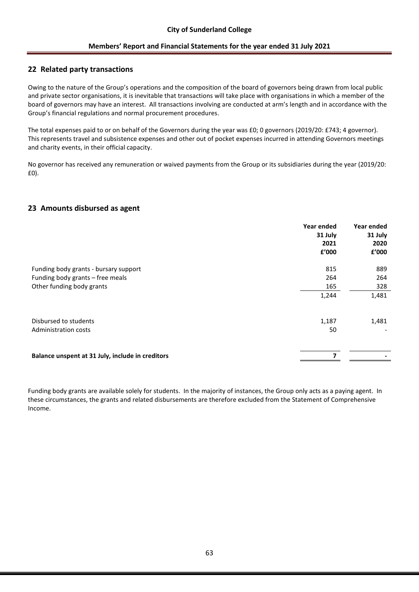# **22 Related party transactions**

Owing to the nature of the Group's operations and the composition of the board of governors being drawn from local public and private sector organisations, it is inevitable that transactions will take place with organisations in which a member of the board of governors may have an interest. All transactions involving are conducted at arm's length and in accordance with the Group's financial regulations and normal procurement procedures.

The total expenses paid to or on behalf of the Governors during the year was £0; 0 governors (2019/20: £743; 4 governor). This represents travel and subsistence expenses and other out of pocket expenses incurred in attending Governors meetings and charity events, in their official capacity.

No governor has received any remuneration or waived payments from the Group or its subsidiaries during the year (2019/20: £0).

# **23 Amounts disbursed as agent**

|                                                  | Year ended<br>31 July | Year ended<br>31 July |
|--------------------------------------------------|-----------------------|-----------------------|
|                                                  | 2021                  | 2020                  |
|                                                  | £'000                 | £'000                 |
| Funding body grants - bursary support            | 815                   | 889                   |
| Funding body grants – free meals                 | 264                   | 264                   |
| Other funding body grants                        | 165                   | 328                   |
|                                                  | 1,244                 | 1,481                 |
| Disbursed to students                            | 1,187                 | 1,481                 |
| Administration costs                             | 50                    |                       |
| Balance unspent at 31 July, include in creditors | 7                     |                       |
|                                                  |                       |                       |

Funding body grants are available solely for students. In the majority of instances, the Group only acts as a paying agent. In these circumstances, the grants and related disbursements are therefore excluded from the Statement of Comprehensive Income.